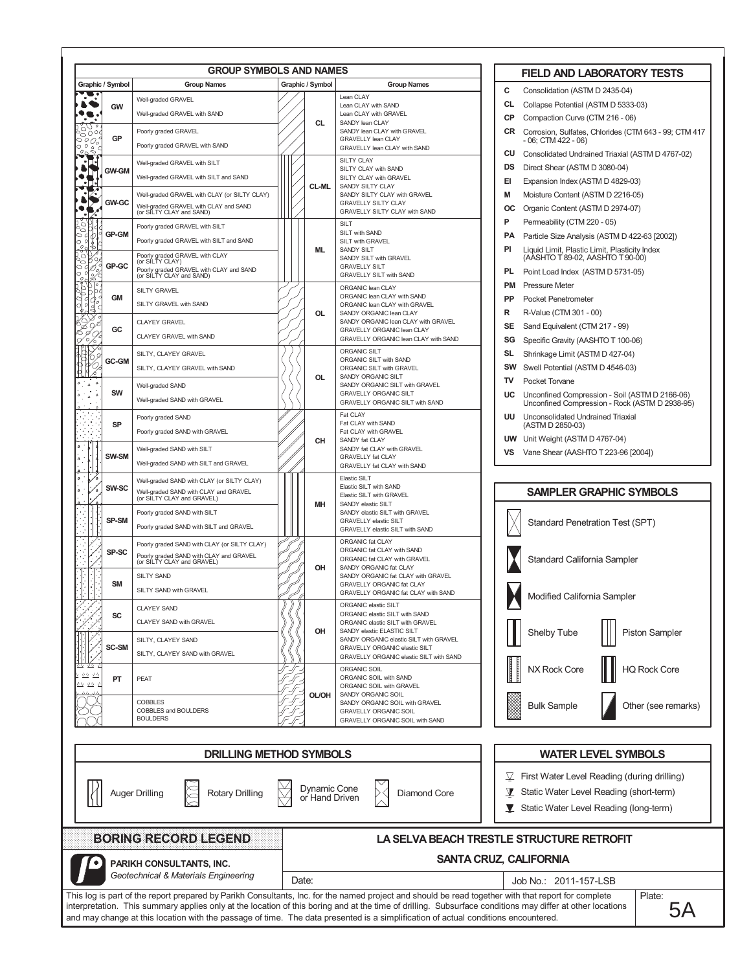| Graphic / Symbol<br>Graphic / Symbol<br><b>Group Names</b><br><b>Group Names</b><br>с<br>Consolidation (ASTM D 2435-04)<br>--<br>Lean CLAY<br>Well-graded GRAVEL<br>CL<br>Collapse Potential (ASTM D 5333-03)<br>Lean CLAY with SAND<br>GW<br>Well-graded GRAVEL with SAND<br>Lean CLAY with GRAVEL<br><b>CP</b><br>Compaction Curve (CTM 216 - 06)<br>CL<br>SANDY lean CLAY<br>$\circ$ ( )<br>$\circ$<br>SANDY lean CLAY with GRAVEL<br>Poorly graded GRAVEL<br>Corrosion, Sulfates, Chlorides (CTM 643 - 99; CTM 417<br>CR<br>5004<br>GP<br>GRAVELLY lean CLAY<br>$\tilde{\rho}$<br>- 06; CTM 422 - 06)<br>Poorly graded GRAVEL with SAND<br>GRAVELLY lean CLAY with SAND<br>cu<br><b>SILTY CLAY</b><br>Well-graded GRAVEL with SILT<br>DS<br>Direct Shear (ASTM D 3080-04)<br>SILTY CLAY with SAND<br><b>GW-GM</b><br>Well-graded GRAVEL with SILT and SAND<br>SILTY CLAY with GRAVEL<br>EI<br>Expansion Index (ASTM D 4829-03)<br>`∙∏∙<br>CL-ML<br>SANDY SILTY CLAY<br>M<br>Moisture Content (ASTM D 2216-05)<br>Well-graded GRAVEL with CLAY (or SILTY CLAY)<br>SANDY SILTY CLAY with GRAVEL<br><b>GW-GC</b><br><b>GRAVELLY SILTY CLAY</b><br>Well-graded GRAVEL with CLAY and SAND<br>(or SILTY CLAY and SAND)<br>Organic Content (ASTM D 2974-07)<br>oc<br>GRAVELLY SILTY CLAY with SAND<br>$\cdot$<br>P<br>Permeability (CTM 220 - 05)<br>O,<br>SILT<br>Poorly graded GRAVEL with SILT<br>°<br>SILT with SAND<br><b>GP-GM</b><br>$\circ$ q<br>РA<br>Particle Size Analysis (ASTM D 422-63 [2002])<br>ø<br>Poorly graded GRAVEL with SILT and SAND<br>SILT with GRAVEL<br>Ō<br>295<br>Liquid Limit, Plastic Limit, Plasticity Index<br>PI<br>ML<br><b>SANDY SILT</b><br>い〆<br>Poorly graded GRAVEL with CLAY<br>$\circ$<br>(AASHTO T 89-02, AASHTO T 90-00)<br>SANDY SILT with GRAVEL<br>(or SILTY CLAY)<br>°<br>GP-GC<br><b>GRAVELLY SILT</b><br>Poorly graded GRAVEL with CLAY and SAND<br>(or SILTY CLAY and SAND)<br>PL<br>Point Load Index (ASTM D 5731-05)<br>o d<br>℁<br><b>GRAVELLY SILT with SAND</b><br>$\circ$<br><b>PM</b><br><b>Pressure Meter</b><br>১৷ত<br>Ъ<br>ORGANIC lean CLAY<br>SILTY GRAVEL<br>юþ.<br>ORGANIC lean CLAY with SAND<br><b>GM</b><br><b>PP</b><br><b>Pocket Penetrometer</b><br>990<br>SILTY GRAVEL with SAND<br>ORGANIC lean CLAY with GRAVEL<br>읭<br>R<br>OL<br>R-Value (CTM 301 - 00)<br>SANDY ORGANIC lean CLAY<br><b>CLAYEY GRAVEL</b><br>SANDY ORGANIC lean CLAY with GRAVEL<br>SE<br>Sand Equivalent (CTM 217 - 99)<br>GC<br>GRAVELLY ORGANIC lean CLAY<br>CLAYEY GRAVEL with SAND<br>GRAVELLY ORGANIC lean CLAY with SAND<br>Specific Gravity (AASHTO T 100-06)<br>SG<br>o<br>6<br>ORGANIC SILT<br>Shrinkage Limit (ASTM D 427-04)<br>SILTY, CLAYEY GRAVEL<br>SL<br>ORGANIC SILT with SAND<br>GC-GM<br>SW<br>Swell Potential (ASTM D 4546-03)<br>SILTY, CLAYEY GRAVEL with SAND<br>ORGANIC SILT with GRAVEL<br>á<br><b>OL</b><br>SANDY ORGANIC SILT<br>т٧<br>Pocket Torvane<br>$\overline{\phantom{a}}$<br>SANDY ORGANIC SILT with GRAVEL<br>Well-graded SAND<br>SW<br><b>GRAVELLY ORGANIC SILT</b><br>UC<br>Δ<br>۵<br>Well-graded SAND with GRAVEL<br>GRAVELLY ORGANIC SILT with SAND<br>Unconfined Compression - Rock (ASTM D 2938-95)<br>Fat CLAY<br><b>UU</b> Unconsolidated Undrained Triaxial<br>Poorly graded SAND<br>Fat CLAY with SAND<br><b>SP</b><br>(ASTM D 2850-03)<br>Poorly graded SAND with GRAVEL<br>Fat CLAY with GRAVEL<br><b>UW</b> Unit Weight (ASTM D 4767-04)<br>CН<br>SANDY fat CLAY<br>Well-graded SAND with SILT<br>SANDY fat CLAY with GRAVEL<br>Vane Shear (AASHTO T 223-96 [2004])<br>VS<br>SW-SM<br>GRAVELLY fat CLAY<br>Well-graded SAND with SILT and GRAVEL<br>GRAVELLY fat CLAY with SAND<br>Elastic SILT<br>Well-graded SAND with CLAY (or SILTY CLAY)<br>Elastic SILT with SAND<br>SW-SC<br><b>SAMPLER GRAPHIC SYMBOLS</b><br>Well-graded SAND with CLAY and GRAVEL<br>(or SILTY CLAY and GRAVEL)<br>Elastic SILT with GRAVEL<br>MН<br>SANDY elastic SILT<br>Poorly graded SAND with SILT<br>SANDY elastic SILT with GRAVEL<br>SP-SM<br><b>GRAVELLY elastic SILT</b><br>Standard Penetration Test (SPT)<br>Poorly graded SAND with SILT and GRAVEL<br>GRAVELLY elastic SILT with SAND<br>ORGANIC fat CLAY<br>Poorly graded SAND with CLAY (or SILTY CLAY)<br>ORGANIC fat CLAY with SAND<br>SP-SC<br>Poorly graded SAND with CLAY and GRAVEL<br>(or SILTY CLAY and GRAVEL)<br>Standard California Sampler<br>ORGANIC fat CLAY with GRAVEL<br>OH<br>SANDY ORGANIC fat CLAY<br>SANDY ORGANIC fat CLAY with GRAVEL<br>SILTY SAND<br><b>SM</b><br>GRAVELLY ORGANIC fat CLAY<br>SILTY SAND with GRAVEL<br>GRAVELLY ORGANIC fat CLAY with SAND<br>Modified California Sampler<br>ORGANIC elastic SILT<br>CLAYEY SAND<br>ORGANIC elastic SILT with SAND<br>SC<br>CLAYEY SAND with GRAVEL<br>ORGANIC elastic SILT with GRAVEL<br>Shelby Tube<br>OH<br>SANDY elastic ELASTIC SILT<br><b>Piston Sampler</b><br>SANDY ORGANIC elastic SILT with GRAVEL<br>SILTY, CLAYEY SAND<br>SC-SM<br>GRAVELLY ORGANIC elastic SILT<br>SILTY, CLAYEY SAND with GRAVEL<br>GRAVELLY ORGANIC elastic SILT with SAND<br>NX Rock Core<br><b>HQ Rock Core</b><br>ORGANIC SOIL<br>A4 44<br>ORGANIC SOIL with SAND<br>PEAT<br>PT<br>丛丛<br>ORGANIC SOIL with GRAVEL<br><b>OL/OH</b><br>SANDY ORGANIC SOIL<br><b>COBBLES</b><br>SANDY ORGANIC SOIL with GRAVEL<br><b>Bulk Sample</b><br>Other (see remarks)<br>COBBLES and BOULDERS<br><b>GRAVELLY ORGANIC SOIL</b><br><b>BOULDERS</b><br>GRAVELLY ORGANIC SOIL with SAND<br><b>DRILLING METHOD SYMBOLS</b><br><b>WATER LEVEL SYMBOLS</b><br>$\sqrt{2}$ First Water Level Reading (during drilling)<br>Dynamic Cone<br>Static Water Level Reading (short-term)<br>Diamond Core<br>Y<br><b>Auger Drilling</b><br><b>Rotary Drilling</b><br>or Hand Driven<br>Static Water Level Reading (long-term)<br>BORINGRIEGORDIEEGEND<br>LA SELVA BEACH TRESTLE STRUCTURE RETROFIT<br><b>SANTA CRUZ, CALIFORNIA</b><br>PARIKH CONSULTANTS, INC.<br>Geotechnical & Materials Engineering<br>Date:<br>Job No.: 2011-157-LSB<br>This log is part of the report prepared by Parikh Consultants, Inc. for the named project and should be read together with that report for complete<br>Plate: |  | <b>GROUP SYMBOLS AND NAMES</b> |  | <b>FIELD AND LABORATORY TESTS</b>                |
|-----------------------------------------------------------------------------------------------------------------------------------------------------------------------------------------------------------------------------------------------------------------------------------------------------------------------------------------------------------------------------------------------------------------------------------------------------------------------------------------------------------------------------------------------------------------------------------------------------------------------------------------------------------------------------------------------------------------------------------------------------------------------------------------------------------------------------------------------------------------------------------------------------------------------------------------------------------------------------------------------------------------------------------------------------------------------------------------------------------------------------------------------------------------------------------------------------------------------------------------------------------------------------------------------------------------------------------------------------------------------------------------------------------------------------------------------------------------------------------------------------------------------------------------------------------------------------------------------------------------------------------------------------------------------------------------------------------------------------------------------------------------------------------------------------------------------------------------------------------------------------------------------------------------------------------------------------------------------------------------------------------------------------------------------------------------------------------------------------------------------------------------------------------------------------------------------------------------------------------------------------------------------------------------------------------------------------------------------------------------------------------------------------------------------------------------------------------------------------------------------------------------------------------------------------------------------------------------------------------------------------------------------------------------------------------------------------------------------------------------------------------------------------------------------------------------------------------------------------------------------------------------------------------------------------------------------------------------------------------------------------------------------------------------------------------------------------------------------------------------------------------------------------------------------------------------------------------------------------------------------------------------------------------------------------------------------------------------------------------------------------------------------------------------------------------------------------------------------------------------------------------------------------------------------------------------------------------------------------------------------------------------------------------------------------------------------------------------------------------------------------------------------------------------------------------------------------------------------------------------------------------------------------------------------------------------------------------------------------------------------------------------------------------------------------------------------------------------------------------------------------------------------------------------------------------------------------------------------------------------------------------------------------------------------------------------------------------------------------------------------------------------------------------------------------------------------------------------------------------------------------------------------------------------------------------------------------------------------------------------------------------------------------------------------------------------------------------------------------------------------------------------------------------------------------------------------------------------------------------------------------------------------------------------------------------------------------------------------------------------------------------------------------------------------------------------------------------------------------------------------------------------------------------------------------------------------------------------------------------------------------------------------------------------------------------------------------------------------------------------------------------------------------------------------------------------------------------------------------------------------------------------------------------------------------------------------------------------------------------------------------------------------------------------------------------------------------------------------------------------------------------------------------------------------------------------------------------------------------------------------------------------------------------------------------------------------------------------------------------------------------------------------------------------------------------------------------------------------------------------------------------------------------------------------------------|--|--------------------------------|--|--------------------------------------------------|
|                                                                                                                                                                                                                                                                                                                                                                                                                                                                                                                                                                                                                                                                                                                                                                                                                                                                                                                                                                                                                                                                                                                                                                                                                                                                                                                                                                                                                                                                                                                                                                                                                                                                                                                                                                                                                                                                                                                                                                                                                                                                                                                                                                                                                                                                                                                                                                                                                                                                                                                                                                                                                                                                                                                                                                                                                                                                                                                                                                                                                                                                                                                                                                                                                                                                                                                                                                                                                                                                                                                                                                                                                                                                                                                                                                                                                                                                                                                                                                                                                                                                                                                                                                                                                                                                                                                                                                                                                                                                                                                                                                                                                                                                                                                                                                                                                                                                                                                                                                                                                                                                                                                                                                                                                                                                                                                                                                                                                                                                                                                                                                                                                                                                                                                                                                                                                                                                                                                                                                                                                                                                                                                                                                                   |  |                                |  |                                                  |
|                                                                                                                                                                                                                                                                                                                                                                                                                                                                                                                                                                                                                                                                                                                                                                                                                                                                                                                                                                                                                                                                                                                                                                                                                                                                                                                                                                                                                                                                                                                                                                                                                                                                                                                                                                                                                                                                                                                                                                                                                                                                                                                                                                                                                                                                                                                                                                                                                                                                                                                                                                                                                                                                                                                                                                                                                                                                                                                                                                                                                                                                                                                                                                                                                                                                                                                                                                                                                                                                                                                                                                                                                                                                                                                                                                                                                                                                                                                                                                                                                                                                                                                                                                                                                                                                                                                                                                                                                                                                                                                                                                                                                                                                                                                                                                                                                                                                                                                                                                                                                                                                                                                                                                                                                                                                                                                                                                                                                                                                                                                                                                                                                                                                                                                                                                                                                                                                                                                                                                                                                                                                                                                                                                                   |  |                                |  |                                                  |
|                                                                                                                                                                                                                                                                                                                                                                                                                                                                                                                                                                                                                                                                                                                                                                                                                                                                                                                                                                                                                                                                                                                                                                                                                                                                                                                                                                                                                                                                                                                                                                                                                                                                                                                                                                                                                                                                                                                                                                                                                                                                                                                                                                                                                                                                                                                                                                                                                                                                                                                                                                                                                                                                                                                                                                                                                                                                                                                                                                                                                                                                                                                                                                                                                                                                                                                                                                                                                                                                                                                                                                                                                                                                                                                                                                                                                                                                                                                                                                                                                                                                                                                                                                                                                                                                                                                                                                                                                                                                                                                                                                                                                                                                                                                                                                                                                                                                                                                                                                                                                                                                                                                                                                                                                                                                                                                                                                                                                                                                                                                                                                                                                                                                                                                                                                                                                                                                                                                                                                                                                                                                                                                                                                                   |  |                                |  |                                                  |
|                                                                                                                                                                                                                                                                                                                                                                                                                                                                                                                                                                                                                                                                                                                                                                                                                                                                                                                                                                                                                                                                                                                                                                                                                                                                                                                                                                                                                                                                                                                                                                                                                                                                                                                                                                                                                                                                                                                                                                                                                                                                                                                                                                                                                                                                                                                                                                                                                                                                                                                                                                                                                                                                                                                                                                                                                                                                                                                                                                                                                                                                                                                                                                                                                                                                                                                                                                                                                                                                                                                                                                                                                                                                                                                                                                                                                                                                                                                                                                                                                                                                                                                                                                                                                                                                                                                                                                                                                                                                                                                                                                                                                                                                                                                                                                                                                                                                                                                                                                                                                                                                                                                                                                                                                                                                                                                                                                                                                                                                                                                                                                                                                                                                                                                                                                                                                                                                                                                                                                                                                                                                                                                                                                                   |  |                                |  |                                                  |
|                                                                                                                                                                                                                                                                                                                                                                                                                                                                                                                                                                                                                                                                                                                                                                                                                                                                                                                                                                                                                                                                                                                                                                                                                                                                                                                                                                                                                                                                                                                                                                                                                                                                                                                                                                                                                                                                                                                                                                                                                                                                                                                                                                                                                                                                                                                                                                                                                                                                                                                                                                                                                                                                                                                                                                                                                                                                                                                                                                                                                                                                                                                                                                                                                                                                                                                                                                                                                                                                                                                                                                                                                                                                                                                                                                                                                                                                                                                                                                                                                                                                                                                                                                                                                                                                                                                                                                                                                                                                                                                                                                                                                                                                                                                                                                                                                                                                                                                                                                                                                                                                                                                                                                                                                                                                                                                                                                                                                                                                                                                                                                                                                                                                                                                                                                                                                                                                                                                                                                                                                                                                                                                                                                                   |  |                                |  |                                                  |
|                                                                                                                                                                                                                                                                                                                                                                                                                                                                                                                                                                                                                                                                                                                                                                                                                                                                                                                                                                                                                                                                                                                                                                                                                                                                                                                                                                                                                                                                                                                                                                                                                                                                                                                                                                                                                                                                                                                                                                                                                                                                                                                                                                                                                                                                                                                                                                                                                                                                                                                                                                                                                                                                                                                                                                                                                                                                                                                                                                                                                                                                                                                                                                                                                                                                                                                                                                                                                                                                                                                                                                                                                                                                                                                                                                                                                                                                                                                                                                                                                                                                                                                                                                                                                                                                                                                                                                                                                                                                                                                                                                                                                                                                                                                                                                                                                                                                                                                                                                                                                                                                                                                                                                                                                                                                                                                                                                                                                                                                                                                                                                                                                                                                                                                                                                                                                                                                                                                                                                                                                                                                                                                                                                                   |  |                                |  | Consolidated Undrained Triaxial (ASTM D 4767-02) |
|                                                                                                                                                                                                                                                                                                                                                                                                                                                                                                                                                                                                                                                                                                                                                                                                                                                                                                                                                                                                                                                                                                                                                                                                                                                                                                                                                                                                                                                                                                                                                                                                                                                                                                                                                                                                                                                                                                                                                                                                                                                                                                                                                                                                                                                                                                                                                                                                                                                                                                                                                                                                                                                                                                                                                                                                                                                                                                                                                                                                                                                                                                                                                                                                                                                                                                                                                                                                                                                                                                                                                                                                                                                                                                                                                                                                                                                                                                                                                                                                                                                                                                                                                                                                                                                                                                                                                                                                                                                                                                                                                                                                                                                                                                                                                                                                                                                                                                                                                                                                                                                                                                                                                                                                                                                                                                                                                                                                                                                                                                                                                                                                                                                                                                                                                                                                                                                                                                                                                                                                                                                                                                                                                                                   |  |                                |  |                                                  |
|                                                                                                                                                                                                                                                                                                                                                                                                                                                                                                                                                                                                                                                                                                                                                                                                                                                                                                                                                                                                                                                                                                                                                                                                                                                                                                                                                                                                                                                                                                                                                                                                                                                                                                                                                                                                                                                                                                                                                                                                                                                                                                                                                                                                                                                                                                                                                                                                                                                                                                                                                                                                                                                                                                                                                                                                                                                                                                                                                                                                                                                                                                                                                                                                                                                                                                                                                                                                                                                                                                                                                                                                                                                                                                                                                                                                                                                                                                                                                                                                                                                                                                                                                                                                                                                                                                                                                                                                                                                                                                                                                                                                                                                                                                                                                                                                                                                                                                                                                                                                                                                                                                                                                                                                                                                                                                                                                                                                                                                                                                                                                                                                                                                                                                                                                                                                                                                                                                                                                                                                                                                                                                                                                                                   |  |                                |  |                                                  |
|                                                                                                                                                                                                                                                                                                                                                                                                                                                                                                                                                                                                                                                                                                                                                                                                                                                                                                                                                                                                                                                                                                                                                                                                                                                                                                                                                                                                                                                                                                                                                                                                                                                                                                                                                                                                                                                                                                                                                                                                                                                                                                                                                                                                                                                                                                                                                                                                                                                                                                                                                                                                                                                                                                                                                                                                                                                                                                                                                                                                                                                                                                                                                                                                                                                                                                                                                                                                                                                                                                                                                                                                                                                                                                                                                                                                                                                                                                                                                                                                                                                                                                                                                                                                                                                                                                                                                                                                                                                                                                                                                                                                                                                                                                                                                                                                                                                                                                                                                                                                                                                                                                                                                                                                                                                                                                                                                                                                                                                                                                                                                                                                                                                                                                                                                                                                                                                                                                                                                                                                                                                                                                                                                                                   |  |                                |  |                                                  |
|                                                                                                                                                                                                                                                                                                                                                                                                                                                                                                                                                                                                                                                                                                                                                                                                                                                                                                                                                                                                                                                                                                                                                                                                                                                                                                                                                                                                                                                                                                                                                                                                                                                                                                                                                                                                                                                                                                                                                                                                                                                                                                                                                                                                                                                                                                                                                                                                                                                                                                                                                                                                                                                                                                                                                                                                                                                                                                                                                                                                                                                                                                                                                                                                                                                                                                                                                                                                                                                                                                                                                                                                                                                                                                                                                                                                                                                                                                                                                                                                                                                                                                                                                                                                                                                                                                                                                                                                                                                                                                                                                                                                                                                                                                                                                                                                                                                                                                                                                                                                                                                                                                                                                                                                                                                                                                                                                                                                                                                                                                                                                                                                                                                                                                                                                                                                                                                                                                                                                                                                                                                                                                                                                                                   |  |                                |  |                                                  |
|                                                                                                                                                                                                                                                                                                                                                                                                                                                                                                                                                                                                                                                                                                                                                                                                                                                                                                                                                                                                                                                                                                                                                                                                                                                                                                                                                                                                                                                                                                                                                                                                                                                                                                                                                                                                                                                                                                                                                                                                                                                                                                                                                                                                                                                                                                                                                                                                                                                                                                                                                                                                                                                                                                                                                                                                                                                                                                                                                                                                                                                                                                                                                                                                                                                                                                                                                                                                                                                                                                                                                                                                                                                                                                                                                                                                                                                                                                                                                                                                                                                                                                                                                                                                                                                                                                                                                                                                                                                                                                                                                                                                                                                                                                                                                                                                                                                                                                                                                                                                                                                                                                                                                                                                                                                                                                                                                                                                                                                                                                                                                                                                                                                                                                                                                                                                                                                                                                                                                                                                                                                                                                                                                                                   |  |                                |  |                                                  |
|                                                                                                                                                                                                                                                                                                                                                                                                                                                                                                                                                                                                                                                                                                                                                                                                                                                                                                                                                                                                                                                                                                                                                                                                                                                                                                                                                                                                                                                                                                                                                                                                                                                                                                                                                                                                                                                                                                                                                                                                                                                                                                                                                                                                                                                                                                                                                                                                                                                                                                                                                                                                                                                                                                                                                                                                                                                                                                                                                                                                                                                                                                                                                                                                                                                                                                                                                                                                                                                                                                                                                                                                                                                                                                                                                                                                                                                                                                                                                                                                                                                                                                                                                                                                                                                                                                                                                                                                                                                                                                                                                                                                                                                                                                                                                                                                                                                                                                                                                                                                                                                                                                                                                                                                                                                                                                                                                                                                                                                                                                                                                                                                                                                                                                                                                                                                                                                                                                                                                                                                                                                                                                                                                                                   |  |                                |  |                                                  |
|                                                                                                                                                                                                                                                                                                                                                                                                                                                                                                                                                                                                                                                                                                                                                                                                                                                                                                                                                                                                                                                                                                                                                                                                                                                                                                                                                                                                                                                                                                                                                                                                                                                                                                                                                                                                                                                                                                                                                                                                                                                                                                                                                                                                                                                                                                                                                                                                                                                                                                                                                                                                                                                                                                                                                                                                                                                                                                                                                                                                                                                                                                                                                                                                                                                                                                                                                                                                                                                                                                                                                                                                                                                                                                                                                                                                                                                                                                                                                                                                                                                                                                                                                                                                                                                                                                                                                                                                                                                                                                                                                                                                                                                                                                                                                                                                                                                                                                                                                                                                                                                                                                                                                                                                                                                                                                                                                                                                                                                                                                                                                                                                                                                                                                                                                                                                                                                                                                                                                                                                                                                                                                                                                                                   |  |                                |  |                                                  |
|                                                                                                                                                                                                                                                                                                                                                                                                                                                                                                                                                                                                                                                                                                                                                                                                                                                                                                                                                                                                                                                                                                                                                                                                                                                                                                                                                                                                                                                                                                                                                                                                                                                                                                                                                                                                                                                                                                                                                                                                                                                                                                                                                                                                                                                                                                                                                                                                                                                                                                                                                                                                                                                                                                                                                                                                                                                                                                                                                                                                                                                                                                                                                                                                                                                                                                                                                                                                                                                                                                                                                                                                                                                                                                                                                                                                                                                                                                                                                                                                                                                                                                                                                                                                                                                                                                                                                                                                                                                                                                                                                                                                                                                                                                                                                                                                                                                                                                                                                                                                                                                                                                                                                                                                                                                                                                                                                                                                                                                                                                                                                                                                                                                                                                                                                                                                                                                                                                                                                                                                                                                                                                                                                                                   |  |                                |  |                                                  |
|                                                                                                                                                                                                                                                                                                                                                                                                                                                                                                                                                                                                                                                                                                                                                                                                                                                                                                                                                                                                                                                                                                                                                                                                                                                                                                                                                                                                                                                                                                                                                                                                                                                                                                                                                                                                                                                                                                                                                                                                                                                                                                                                                                                                                                                                                                                                                                                                                                                                                                                                                                                                                                                                                                                                                                                                                                                                                                                                                                                                                                                                                                                                                                                                                                                                                                                                                                                                                                                                                                                                                                                                                                                                                                                                                                                                                                                                                                                                                                                                                                                                                                                                                                                                                                                                                                                                                                                                                                                                                                                                                                                                                                                                                                                                                                                                                                                                                                                                                                                                                                                                                                                                                                                                                                                                                                                                                                                                                                                                                                                                                                                                                                                                                                                                                                                                                                                                                                                                                                                                                                                                                                                                                                                   |  |                                |  |                                                  |
|                                                                                                                                                                                                                                                                                                                                                                                                                                                                                                                                                                                                                                                                                                                                                                                                                                                                                                                                                                                                                                                                                                                                                                                                                                                                                                                                                                                                                                                                                                                                                                                                                                                                                                                                                                                                                                                                                                                                                                                                                                                                                                                                                                                                                                                                                                                                                                                                                                                                                                                                                                                                                                                                                                                                                                                                                                                                                                                                                                                                                                                                                                                                                                                                                                                                                                                                                                                                                                                                                                                                                                                                                                                                                                                                                                                                                                                                                                                                                                                                                                                                                                                                                                                                                                                                                                                                                                                                                                                                                                                                                                                                                                                                                                                                                                                                                                                                                                                                                                                                                                                                                                                                                                                                                                                                                                                                                                                                                                                                                                                                                                                                                                                                                                                                                                                                                                                                                                                                                                                                                                                                                                                                                                                   |  |                                |  |                                                  |
|                                                                                                                                                                                                                                                                                                                                                                                                                                                                                                                                                                                                                                                                                                                                                                                                                                                                                                                                                                                                                                                                                                                                                                                                                                                                                                                                                                                                                                                                                                                                                                                                                                                                                                                                                                                                                                                                                                                                                                                                                                                                                                                                                                                                                                                                                                                                                                                                                                                                                                                                                                                                                                                                                                                                                                                                                                                                                                                                                                                                                                                                                                                                                                                                                                                                                                                                                                                                                                                                                                                                                                                                                                                                                                                                                                                                                                                                                                                                                                                                                                                                                                                                                                                                                                                                                                                                                                                                                                                                                                                                                                                                                                                                                                                                                                                                                                                                                                                                                                                                                                                                                                                                                                                                                                                                                                                                                                                                                                                                                                                                                                                                                                                                                                                                                                                                                                                                                                                                                                                                                                                                                                                                                                                   |  |                                |  |                                                  |
|                                                                                                                                                                                                                                                                                                                                                                                                                                                                                                                                                                                                                                                                                                                                                                                                                                                                                                                                                                                                                                                                                                                                                                                                                                                                                                                                                                                                                                                                                                                                                                                                                                                                                                                                                                                                                                                                                                                                                                                                                                                                                                                                                                                                                                                                                                                                                                                                                                                                                                                                                                                                                                                                                                                                                                                                                                                                                                                                                                                                                                                                                                                                                                                                                                                                                                                                                                                                                                                                                                                                                                                                                                                                                                                                                                                                                                                                                                                                                                                                                                                                                                                                                                                                                                                                                                                                                                                                                                                                                                                                                                                                                                                                                                                                                                                                                                                                                                                                                                                                                                                                                                                                                                                                                                                                                                                                                                                                                                                                                                                                                                                                                                                                                                                                                                                                                                                                                                                                                                                                                                                                                                                                                                                   |  |                                |  |                                                  |
|                                                                                                                                                                                                                                                                                                                                                                                                                                                                                                                                                                                                                                                                                                                                                                                                                                                                                                                                                                                                                                                                                                                                                                                                                                                                                                                                                                                                                                                                                                                                                                                                                                                                                                                                                                                                                                                                                                                                                                                                                                                                                                                                                                                                                                                                                                                                                                                                                                                                                                                                                                                                                                                                                                                                                                                                                                                                                                                                                                                                                                                                                                                                                                                                                                                                                                                                                                                                                                                                                                                                                                                                                                                                                                                                                                                                                                                                                                                                                                                                                                                                                                                                                                                                                                                                                                                                                                                                                                                                                                                                                                                                                                                                                                                                                                                                                                                                                                                                                                                                                                                                                                                                                                                                                                                                                                                                                                                                                                                                                                                                                                                                                                                                                                                                                                                                                                                                                                                                                                                                                                                                                                                                                                                   |  |                                |  |                                                  |
|                                                                                                                                                                                                                                                                                                                                                                                                                                                                                                                                                                                                                                                                                                                                                                                                                                                                                                                                                                                                                                                                                                                                                                                                                                                                                                                                                                                                                                                                                                                                                                                                                                                                                                                                                                                                                                                                                                                                                                                                                                                                                                                                                                                                                                                                                                                                                                                                                                                                                                                                                                                                                                                                                                                                                                                                                                                                                                                                                                                                                                                                                                                                                                                                                                                                                                                                                                                                                                                                                                                                                                                                                                                                                                                                                                                                                                                                                                                                                                                                                                                                                                                                                                                                                                                                                                                                                                                                                                                                                                                                                                                                                                                                                                                                                                                                                                                                                                                                                                                                                                                                                                                                                                                                                                                                                                                                                                                                                                                                                                                                                                                                                                                                                                                                                                                                                                                                                                                                                                                                                                                                                                                                                                                   |  |                                |  |                                                  |
|                                                                                                                                                                                                                                                                                                                                                                                                                                                                                                                                                                                                                                                                                                                                                                                                                                                                                                                                                                                                                                                                                                                                                                                                                                                                                                                                                                                                                                                                                                                                                                                                                                                                                                                                                                                                                                                                                                                                                                                                                                                                                                                                                                                                                                                                                                                                                                                                                                                                                                                                                                                                                                                                                                                                                                                                                                                                                                                                                                                                                                                                                                                                                                                                                                                                                                                                                                                                                                                                                                                                                                                                                                                                                                                                                                                                                                                                                                                                                                                                                                                                                                                                                                                                                                                                                                                                                                                                                                                                                                                                                                                                                                                                                                                                                                                                                                                                                                                                                                                                                                                                                                                                                                                                                                                                                                                                                                                                                                                                                                                                                                                                                                                                                                                                                                                                                                                                                                                                                                                                                                                                                                                                                                                   |  |                                |  |                                                  |
|                                                                                                                                                                                                                                                                                                                                                                                                                                                                                                                                                                                                                                                                                                                                                                                                                                                                                                                                                                                                                                                                                                                                                                                                                                                                                                                                                                                                                                                                                                                                                                                                                                                                                                                                                                                                                                                                                                                                                                                                                                                                                                                                                                                                                                                                                                                                                                                                                                                                                                                                                                                                                                                                                                                                                                                                                                                                                                                                                                                                                                                                                                                                                                                                                                                                                                                                                                                                                                                                                                                                                                                                                                                                                                                                                                                                                                                                                                                                                                                                                                                                                                                                                                                                                                                                                                                                                                                                                                                                                                                                                                                                                                                                                                                                                                                                                                                                                                                                                                                                                                                                                                                                                                                                                                                                                                                                                                                                                                                                                                                                                                                                                                                                                                                                                                                                                                                                                                                                                                                                                                                                                                                                                                                   |  |                                |  |                                                  |
|                                                                                                                                                                                                                                                                                                                                                                                                                                                                                                                                                                                                                                                                                                                                                                                                                                                                                                                                                                                                                                                                                                                                                                                                                                                                                                                                                                                                                                                                                                                                                                                                                                                                                                                                                                                                                                                                                                                                                                                                                                                                                                                                                                                                                                                                                                                                                                                                                                                                                                                                                                                                                                                                                                                                                                                                                                                                                                                                                                                                                                                                                                                                                                                                                                                                                                                                                                                                                                                                                                                                                                                                                                                                                                                                                                                                                                                                                                                                                                                                                                                                                                                                                                                                                                                                                                                                                                                                                                                                                                                                                                                                                                                                                                                                                                                                                                                                                                                                                                                                                                                                                                                                                                                                                                                                                                                                                                                                                                                                                                                                                                                                                                                                                                                                                                                                                                                                                                                                                                                                                                                                                                                                                                                   |  |                                |  |                                                  |
|                                                                                                                                                                                                                                                                                                                                                                                                                                                                                                                                                                                                                                                                                                                                                                                                                                                                                                                                                                                                                                                                                                                                                                                                                                                                                                                                                                                                                                                                                                                                                                                                                                                                                                                                                                                                                                                                                                                                                                                                                                                                                                                                                                                                                                                                                                                                                                                                                                                                                                                                                                                                                                                                                                                                                                                                                                                                                                                                                                                                                                                                                                                                                                                                                                                                                                                                                                                                                                                                                                                                                                                                                                                                                                                                                                                                                                                                                                                                                                                                                                                                                                                                                                                                                                                                                                                                                                                                                                                                                                                                                                                                                                                                                                                                                                                                                                                                                                                                                                                                                                                                                                                                                                                                                                                                                                                                                                                                                                                                                                                                                                                                                                                                                                                                                                                                                                                                                                                                                                                                                                                                                                                                                                                   |  |                                |  | Unconfined Compression - Soil (ASTM D 2166-06)   |
|                                                                                                                                                                                                                                                                                                                                                                                                                                                                                                                                                                                                                                                                                                                                                                                                                                                                                                                                                                                                                                                                                                                                                                                                                                                                                                                                                                                                                                                                                                                                                                                                                                                                                                                                                                                                                                                                                                                                                                                                                                                                                                                                                                                                                                                                                                                                                                                                                                                                                                                                                                                                                                                                                                                                                                                                                                                                                                                                                                                                                                                                                                                                                                                                                                                                                                                                                                                                                                                                                                                                                                                                                                                                                                                                                                                                                                                                                                                                                                                                                                                                                                                                                                                                                                                                                                                                                                                                                                                                                                                                                                                                                                                                                                                                                                                                                                                                                                                                                                                                                                                                                                                                                                                                                                                                                                                                                                                                                                                                                                                                                                                                                                                                                                                                                                                                                                                                                                                                                                                                                                                                                                                                                                                   |  |                                |  |                                                  |
|                                                                                                                                                                                                                                                                                                                                                                                                                                                                                                                                                                                                                                                                                                                                                                                                                                                                                                                                                                                                                                                                                                                                                                                                                                                                                                                                                                                                                                                                                                                                                                                                                                                                                                                                                                                                                                                                                                                                                                                                                                                                                                                                                                                                                                                                                                                                                                                                                                                                                                                                                                                                                                                                                                                                                                                                                                                                                                                                                                                                                                                                                                                                                                                                                                                                                                                                                                                                                                                                                                                                                                                                                                                                                                                                                                                                                                                                                                                                                                                                                                                                                                                                                                                                                                                                                                                                                                                                                                                                                                                                                                                                                                                                                                                                                                                                                                                                                                                                                                                                                                                                                                                                                                                                                                                                                                                                                                                                                                                                                                                                                                                                                                                                                                                                                                                                                                                                                                                                                                                                                                                                                                                                                                                   |  |                                |  |                                                  |
|                                                                                                                                                                                                                                                                                                                                                                                                                                                                                                                                                                                                                                                                                                                                                                                                                                                                                                                                                                                                                                                                                                                                                                                                                                                                                                                                                                                                                                                                                                                                                                                                                                                                                                                                                                                                                                                                                                                                                                                                                                                                                                                                                                                                                                                                                                                                                                                                                                                                                                                                                                                                                                                                                                                                                                                                                                                                                                                                                                                                                                                                                                                                                                                                                                                                                                                                                                                                                                                                                                                                                                                                                                                                                                                                                                                                                                                                                                                                                                                                                                                                                                                                                                                                                                                                                                                                                                                                                                                                                                                                                                                                                                                                                                                                                                                                                                                                                                                                                                                                                                                                                                                                                                                                                                                                                                                                                                                                                                                                                                                                                                                                                                                                                                                                                                                                                                                                                                                                                                                                                                                                                                                                                                                   |  |                                |  |                                                  |
|                                                                                                                                                                                                                                                                                                                                                                                                                                                                                                                                                                                                                                                                                                                                                                                                                                                                                                                                                                                                                                                                                                                                                                                                                                                                                                                                                                                                                                                                                                                                                                                                                                                                                                                                                                                                                                                                                                                                                                                                                                                                                                                                                                                                                                                                                                                                                                                                                                                                                                                                                                                                                                                                                                                                                                                                                                                                                                                                                                                                                                                                                                                                                                                                                                                                                                                                                                                                                                                                                                                                                                                                                                                                                                                                                                                                                                                                                                                                                                                                                                                                                                                                                                                                                                                                                                                                                                                                                                                                                                                                                                                                                                                                                                                                                                                                                                                                                                                                                                                                                                                                                                                                                                                                                                                                                                                                                                                                                                                                                                                                                                                                                                                                                                                                                                                                                                                                                                                                                                                                                                                                                                                                                                                   |  |                                |  |                                                  |
|                                                                                                                                                                                                                                                                                                                                                                                                                                                                                                                                                                                                                                                                                                                                                                                                                                                                                                                                                                                                                                                                                                                                                                                                                                                                                                                                                                                                                                                                                                                                                                                                                                                                                                                                                                                                                                                                                                                                                                                                                                                                                                                                                                                                                                                                                                                                                                                                                                                                                                                                                                                                                                                                                                                                                                                                                                                                                                                                                                                                                                                                                                                                                                                                                                                                                                                                                                                                                                                                                                                                                                                                                                                                                                                                                                                                                                                                                                                                                                                                                                                                                                                                                                                                                                                                                                                                                                                                                                                                                                                                                                                                                                                                                                                                                                                                                                                                                                                                                                                                                                                                                                                                                                                                                                                                                                                                                                                                                                                                                                                                                                                                                                                                                                                                                                                                                                                                                                                                                                                                                                                                                                                                                                                   |  |                                |  |                                                  |
|                                                                                                                                                                                                                                                                                                                                                                                                                                                                                                                                                                                                                                                                                                                                                                                                                                                                                                                                                                                                                                                                                                                                                                                                                                                                                                                                                                                                                                                                                                                                                                                                                                                                                                                                                                                                                                                                                                                                                                                                                                                                                                                                                                                                                                                                                                                                                                                                                                                                                                                                                                                                                                                                                                                                                                                                                                                                                                                                                                                                                                                                                                                                                                                                                                                                                                                                                                                                                                                                                                                                                                                                                                                                                                                                                                                                                                                                                                                                                                                                                                                                                                                                                                                                                                                                                                                                                                                                                                                                                                                                                                                                                                                                                                                                                                                                                                                                                                                                                                                                                                                                                                                                                                                                                                                                                                                                                                                                                                                                                                                                                                                                                                                                                                                                                                                                                                                                                                                                                                                                                                                                                                                                                                                   |  |                                |  |                                                  |
|                                                                                                                                                                                                                                                                                                                                                                                                                                                                                                                                                                                                                                                                                                                                                                                                                                                                                                                                                                                                                                                                                                                                                                                                                                                                                                                                                                                                                                                                                                                                                                                                                                                                                                                                                                                                                                                                                                                                                                                                                                                                                                                                                                                                                                                                                                                                                                                                                                                                                                                                                                                                                                                                                                                                                                                                                                                                                                                                                                                                                                                                                                                                                                                                                                                                                                                                                                                                                                                                                                                                                                                                                                                                                                                                                                                                                                                                                                                                                                                                                                                                                                                                                                                                                                                                                                                                                                                                                                                                                                                                                                                                                                                                                                                                                                                                                                                                                                                                                                                                                                                                                                                                                                                                                                                                                                                                                                                                                                                                                                                                                                                                                                                                                                                                                                                                                                                                                                                                                                                                                                                                                                                                                                                   |  |                                |  |                                                  |
|                                                                                                                                                                                                                                                                                                                                                                                                                                                                                                                                                                                                                                                                                                                                                                                                                                                                                                                                                                                                                                                                                                                                                                                                                                                                                                                                                                                                                                                                                                                                                                                                                                                                                                                                                                                                                                                                                                                                                                                                                                                                                                                                                                                                                                                                                                                                                                                                                                                                                                                                                                                                                                                                                                                                                                                                                                                                                                                                                                                                                                                                                                                                                                                                                                                                                                                                                                                                                                                                                                                                                                                                                                                                                                                                                                                                                                                                                                                                                                                                                                                                                                                                                                                                                                                                                                                                                                                                                                                                                                                                                                                                                                                                                                                                                                                                                                                                                                                                                                                                                                                                                                                                                                                                                                                                                                                                                                                                                                                                                                                                                                                                                                                                                                                                                                                                                                                                                                                                                                                                                                                                                                                                                                                   |  |                                |  |                                                  |
|                                                                                                                                                                                                                                                                                                                                                                                                                                                                                                                                                                                                                                                                                                                                                                                                                                                                                                                                                                                                                                                                                                                                                                                                                                                                                                                                                                                                                                                                                                                                                                                                                                                                                                                                                                                                                                                                                                                                                                                                                                                                                                                                                                                                                                                                                                                                                                                                                                                                                                                                                                                                                                                                                                                                                                                                                                                                                                                                                                                                                                                                                                                                                                                                                                                                                                                                                                                                                                                                                                                                                                                                                                                                                                                                                                                                                                                                                                                                                                                                                                                                                                                                                                                                                                                                                                                                                                                                                                                                                                                                                                                                                                                                                                                                                                                                                                                                                                                                                                                                                                                                                                                                                                                                                                                                                                                                                                                                                                                                                                                                                                                                                                                                                                                                                                                                                                                                                                                                                                                                                                                                                                                                                                                   |  |                                |  |                                                  |
|                                                                                                                                                                                                                                                                                                                                                                                                                                                                                                                                                                                                                                                                                                                                                                                                                                                                                                                                                                                                                                                                                                                                                                                                                                                                                                                                                                                                                                                                                                                                                                                                                                                                                                                                                                                                                                                                                                                                                                                                                                                                                                                                                                                                                                                                                                                                                                                                                                                                                                                                                                                                                                                                                                                                                                                                                                                                                                                                                                                                                                                                                                                                                                                                                                                                                                                                                                                                                                                                                                                                                                                                                                                                                                                                                                                                                                                                                                                                                                                                                                                                                                                                                                                                                                                                                                                                                                                                                                                                                                                                                                                                                                                                                                                                                                                                                                                                                                                                                                                                                                                                                                                                                                                                                                                                                                                                                                                                                                                                                                                                                                                                                                                                                                                                                                                                                                                                                                                                                                                                                                                                                                                                                                                   |  |                                |  |                                                  |
|                                                                                                                                                                                                                                                                                                                                                                                                                                                                                                                                                                                                                                                                                                                                                                                                                                                                                                                                                                                                                                                                                                                                                                                                                                                                                                                                                                                                                                                                                                                                                                                                                                                                                                                                                                                                                                                                                                                                                                                                                                                                                                                                                                                                                                                                                                                                                                                                                                                                                                                                                                                                                                                                                                                                                                                                                                                                                                                                                                                                                                                                                                                                                                                                                                                                                                                                                                                                                                                                                                                                                                                                                                                                                                                                                                                                                                                                                                                                                                                                                                                                                                                                                                                                                                                                                                                                                                                                                                                                                                                                                                                                                                                                                                                                                                                                                                                                                                                                                                                                                                                                                                                                                                                                                                                                                                                                                                                                                                                                                                                                                                                                                                                                                                                                                                                                                                                                                                                                                                                                                                                                                                                                                                                   |  |                                |  |                                                  |
|                                                                                                                                                                                                                                                                                                                                                                                                                                                                                                                                                                                                                                                                                                                                                                                                                                                                                                                                                                                                                                                                                                                                                                                                                                                                                                                                                                                                                                                                                                                                                                                                                                                                                                                                                                                                                                                                                                                                                                                                                                                                                                                                                                                                                                                                                                                                                                                                                                                                                                                                                                                                                                                                                                                                                                                                                                                                                                                                                                                                                                                                                                                                                                                                                                                                                                                                                                                                                                                                                                                                                                                                                                                                                                                                                                                                                                                                                                                                                                                                                                                                                                                                                                                                                                                                                                                                                                                                                                                                                                                                                                                                                                                                                                                                                                                                                                                                                                                                                                                                                                                                                                                                                                                                                                                                                                                                                                                                                                                                                                                                                                                                                                                                                                                                                                                                                                                                                                                                                                                                                                                                                                                                                                                   |  |                                |  |                                                  |
|                                                                                                                                                                                                                                                                                                                                                                                                                                                                                                                                                                                                                                                                                                                                                                                                                                                                                                                                                                                                                                                                                                                                                                                                                                                                                                                                                                                                                                                                                                                                                                                                                                                                                                                                                                                                                                                                                                                                                                                                                                                                                                                                                                                                                                                                                                                                                                                                                                                                                                                                                                                                                                                                                                                                                                                                                                                                                                                                                                                                                                                                                                                                                                                                                                                                                                                                                                                                                                                                                                                                                                                                                                                                                                                                                                                                                                                                                                                                                                                                                                                                                                                                                                                                                                                                                                                                                                                                                                                                                                                                                                                                                                                                                                                                                                                                                                                                                                                                                                                                                                                                                                                                                                                                                                                                                                                                                                                                                                                                                                                                                                                                                                                                                                                                                                                                                                                                                                                                                                                                                                                                                                                                                                                   |  |                                |  |                                                  |
|                                                                                                                                                                                                                                                                                                                                                                                                                                                                                                                                                                                                                                                                                                                                                                                                                                                                                                                                                                                                                                                                                                                                                                                                                                                                                                                                                                                                                                                                                                                                                                                                                                                                                                                                                                                                                                                                                                                                                                                                                                                                                                                                                                                                                                                                                                                                                                                                                                                                                                                                                                                                                                                                                                                                                                                                                                                                                                                                                                                                                                                                                                                                                                                                                                                                                                                                                                                                                                                                                                                                                                                                                                                                                                                                                                                                                                                                                                                                                                                                                                                                                                                                                                                                                                                                                                                                                                                                                                                                                                                                                                                                                                                                                                                                                                                                                                                                                                                                                                                                                                                                                                                                                                                                                                                                                                                                                                                                                                                                                                                                                                                                                                                                                                                                                                                                                                                                                                                                                                                                                                                                                                                                                                                   |  |                                |  |                                                  |
|                                                                                                                                                                                                                                                                                                                                                                                                                                                                                                                                                                                                                                                                                                                                                                                                                                                                                                                                                                                                                                                                                                                                                                                                                                                                                                                                                                                                                                                                                                                                                                                                                                                                                                                                                                                                                                                                                                                                                                                                                                                                                                                                                                                                                                                                                                                                                                                                                                                                                                                                                                                                                                                                                                                                                                                                                                                                                                                                                                                                                                                                                                                                                                                                                                                                                                                                                                                                                                                                                                                                                                                                                                                                                                                                                                                                                                                                                                                                                                                                                                                                                                                                                                                                                                                                                                                                                                                                                                                                                                                                                                                                                                                                                                                                                                                                                                                                                                                                                                                                                                                                                                                                                                                                                                                                                                                                                                                                                                                                                                                                                                                                                                                                                                                                                                                                                                                                                                                                                                                                                                                                                                                                                                                   |  |                                |  |                                                  |
|                                                                                                                                                                                                                                                                                                                                                                                                                                                                                                                                                                                                                                                                                                                                                                                                                                                                                                                                                                                                                                                                                                                                                                                                                                                                                                                                                                                                                                                                                                                                                                                                                                                                                                                                                                                                                                                                                                                                                                                                                                                                                                                                                                                                                                                                                                                                                                                                                                                                                                                                                                                                                                                                                                                                                                                                                                                                                                                                                                                                                                                                                                                                                                                                                                                                                                                                                                                                                                                                                                                                                                                                                                                                                                                                                                                                                                                                                                                                                                                                                                                                                                                                                                                                                                                                                                                                                                                                                                                                                                                                                                                                                                                                                                                                                                                                                                                                                                                                                                                                                                                                                                                                                                                                                                                                                                                                                                                                                                                                                                                                                                                                                                                                                                                                                                                                                                                                                                                                                                                                                                                                                                                                                                                   |  |                                |  |                                                  |
|                                                                                                                                                                                                                                                                                                                                                                                                                                                                                                                                                                                                                                                                                                                                                                                                                                                                                                                                                                                                                                                                                                                                                                                                                                                                                                                                                                                                                                                                                                                                                                                                                                                                                                                                                                                                                                                                                                                                                                                                                                                                                                                                                                                                                                                                                                                                                                                                                                                                                                                                                                                                                                                                                                                                                                                                                                                                                                                                                                                                                                                                                                                                                                                                                                                                                                                                                                                                                                                                                                                                                                                                                                                                                                                                                                                                                                                                                                                                                                                                                                                                                                                                                                                                                                                                                                                                                                                                                                                                                                                                                                                                                                                                                                                                                                                                                                                                                                                                                                                                                                                                                                                                                                                                                                                                                                                                                                                                                                                                                                                                                                                                                                                                                                                                                                                                                                                                                                                                                                                                                                                                                                                                                                                   |  |                                |  |                                                  |
|                                                                                                                                                                                                                                                                                                                                                                                                                                                                                                                                                                                                                                                                                                                                                                                                                                                                                                                                                                                                                                                                                                                                                                                                                                                                                                                                                                                                                                                                                                                                                                                                                                                                                                                                                                                                                                                                                                                                                                                                                                                                                                                                                                                                                                                                                                                                                                                                                                                                                                                                                                                                                                                                                                                                                                                                                                                                                                                                                                                                                                                                                                                                                                                                                                                                                                                                                                                                                                                                                                                                                                                                                                                                                                                                                                                                                                                                                                                                                                                                                                                                                                                                                                                                                                                                                                                                                                                                                                                                                                                                                                                                                                                                                                                                                                                                                                                                                                                                                                                                                                                                                                                                                                                                                                                                                                                                                                                                                                                                                                                                                                                                                                                                                                                                                                                                                                                                                                                                                                                                                                                                                                                                                                                   |  |                                |  |                                                  |
|                                                                                                                                                                                                                                                                                                                                                                                                                                                                                                                                                                                                                                                                                                                                                                                                                                                                                                                                                                                                                                                                                                                                                                                                                                                                                                                                                                                                                                                                                                                                                                                                                                                                                                                                                                                                                                                                                                                                                                                                                                                                                                                                                                                                                                                                                                                                                                                                                                                                                                                                                                                                                                                                                                                                                                                                                                                                                                                                                                                                                                                                                                                                                                                                                                                                                                                                                                                                                                                                                                                                                                                                                                                                                                                                                                                                                                                                                                                                                                                                                                                                                                                                                                                                                                                                                                                                                                                                                                                                                                                                                                                                                                                                                                                                                                                                                                                                                                                                                                                                                                                                                                                                                                                                                                                                                                                                                                                                                                                                                                                                                                                                                                                                                                                                                                                                                                                                                                                                                                                                                                                                                                                                                                                   |  |                                |  |                                                  |
|                                                                                                                                                                                                                                                                                                                                                                                                                                                                                                                                                                                                                                                                                                                                                                                                                                                                                                                                                                                                                                                                                                                                                                                                                                                                                                                                                                                                                                                                                                                                                                                                                                                                                                                                                                                                                                                                                                                                                                                                                                                                                                                                                                                                                                                                                                                                                                                                                                                                                                                                                                                                                                                                                                                                                                                                                                                                                                                                                                                                                                                                                                                                                                                                                                                                                                                                                                                                                                                                                                                                                                                                                                                                                                                                                                                                                                                                                                                                                                                                                                                                                                                                                                                                                                                                                                                                                                                                                                                                                                                                                                                                                                                                                                                                                                                                                                                                                                                                                                                                                                                                                                                                                                                                                                                                                                                                                                                                                                                                                                                                                                                                                                                                                                                                                                                                                                                                                                                                                                                                                                                                                                                                                                                   |  |                                |  |                                                  |
|                                                                                                                                                                                                                                                                                                                                                                                                                                                                                                                                                                                                                                                                                                                                                                                                                                                                                                                                                                                                                                                                                                                                                                                                                                                                                                                                                                                                                                                                                                                                                                                                                                                                                                                                                                                                                                                                                                                                                                                                                                                                                                                                                                                                                                                                                                                                                                                                                                                                                                                                                                                                                                                                                                                                                                                                                                                                                                                                                                                                                                                                                                                                                                                                                                                                                                                                                                                                                                                                                                                                                                                                                                                                                                                                                                                                                                                                                                                                                                                                                                                                                                                                                                                                                                                                                                                                                                                                                                                                                                                                                                                                                                                                                                                                                                                                                                                                                                                                                                                                                                                                                                                                                                                                                                                                                                                                                                                                                                                                                                                                                                                                                                                                                                                                                                                                                                                                                                                                                                                                                                                                                                                                                                                   |  |                                |  |                                                  |
|                                                                                                                                                                                                                                                                                                                                                                                                                                                                                                                                                                                                                                                                                                                                                                                                                                                                                                                                                                                                                                                                                                                                                                                                                                                                                                                                                                                                                                                                                                                                                                                                                                                                                                                                                                                                                                                                                                                                                                                                                                                                                                                                                                                                                                                                                                                                                                                                                                                                                                                                                                                                                                                                                                                                                                                                                                                                                                                                                                                                                                                                                                                                                                                                                                                                                                                                                                                                                                                                                                                                                                                                                                                                                                                                                                                                                                                                                                                                                                                                                                                                                                                                                                                                                                                                                                                                                                                                                                                                                                                                                                                                                                                                                                                                                                                                                                                                                                                                                                                                                                                                                                                                                                                                                                                                                                                                                                                                                                                                                                                                                                                                                                                                                                                                                                                                                                                                                                                                                                                                                                                                                                                                                                                   |  |                                |  |                                                  |
|                                                                                                                                                                                                                                                                                                                                                                                                                                                                                                                                                                                                                                                                                                                                                                                                                                                                                                                                                                                                                                                                                                                                                                                                                                                                                                                                                                                                                                                                                                                                                                                                                                                                                                                                                                                                                                                                                                                                                                                                                                                                                                                                                                                                                                                                                                                                                                                                                                                                                                                                                                                                                                                                                                                                                                                                                                                                                                                                                                                                                                                                                                                                                                                                                                                                                                                                                                                                                                                                                                                                                                                                                                                                                                                                                                                                                                                                                                                                                                                                                                                                                                                                                                                                                                                                                                                                                                                                                                                                                                                                                                                                                                                                                                                                                                                                                                                                                                                                                                                                                                                                                                                                                                                                                                                                                                                                                                                                                                                                                                                                                                                                                                                                                                                                                                                                                                                                                                                                                                                                                                                                                                                                                                                   |  |                                |  |                                                  |
|                                                                                                                                                                                                                                                                                                                                                                                                                                                                                                                                                                                                                                                                                                                                                                                                                                                                                                                                                                                                                                                                                                                                                                                                                                                                                                                                                                                                                                                                                                                                                                                                                                                                                                                                                                                                                                                                                                                                                                                                                                                                                                                                                                                                                                                                                                                                                                                                                                                                                                                                                                                                                                                                                                                                                                                                                                                                                                                                                                                                                                                                                                                                                                                                                                                                                                                                                                                                                                                                                                                                                                                                                                                                                                                                                                                                                                                                                                                                                                                                                                                                                                                                                                                                                                                                                                                                                                                                                                                                                                                                                                                                                                                                                                                                                                                                                                                                                                                                                                                                                                                                                                                                                                                                                                                                                                                                                                                                                                                                                                                                                                                                                                                                                                                                                                                                                                                                                                                                                                                                                                                                                                                                                                                   |  |                                |  |                                                  |
|                                                                                                                                                                                                                                                                                                                                                                                                                                                                                                                                                                                                                                                                                                                                                                                                                                                                                                                                                                                                                                                                                                                                                                                                                                                                                                                                                                                                                                                                                                                                                                                                                                                                                                                                                                                                                                                                                                                                                                                                                                                                                                                                                                                                                                                                                                                                                                                                                                                                                                                                                                                                                                                                                                                                                                                                                                                                                                                                                                                                                                                                                                                                                                                                                                                                                                                                                                                                                                                                                                                                                                                                                                                                                                                                                                                                                                                                                                                                                                                                                                                                                                                                                                                                                                                                                                                                                                                                                                                                                                                                                                                                                                                                                                                                                                                                                                                                                                                                                                                                                                                                                                                                                                                                                                                                                                                                                                                                                                                                                                                                                                                                                                                                                                                                                                                                                                                                                                                                                                                                                                                                                                                                                                                   |  |                                |  |                                                  |
|                                                                                                                                                                                                                                                                                                                                                                                                                                                                                                                                                                                                                                                                                                                                                                                                                                                                                                                                                                                                                                                                                                                                                                                                                                                                                                                                                                                                                                                                                                                                                                                                                                                                                                                                                                                                                                                                                                                                                                                                                                                                                                                                                                                                                                                                                                                                                                                                                                                                                                                                                                                                                                                                                                                                                                                                                                                                                                                                                                                                                                                                                                                                                                                                                                                                                                                                                                                                                                                                                                                                                                                                                                                                                                                                                                                                                                                                                                                                                                                                                                                                                                                                                                                                                                                                                                                                                                                                                                                                                                                                                                                                                                                                                                                                                                                                                                                                                                                                                                                                                                                                                                                                                                                                                                                                                                                                                                                                                                                                                                                                                                                                                                                                                                                                                                                                                                                                                                                                                                                                                                                                                                                                                                                   |  |                                |  |                                                  |
|                                                                                                                                                                                                                                                                                                                                                                                                                                                                                                                                                                                                                                                                                                                                                                                                                                                                                                                                                                                                                                                                                                                                                                                                                                                                                                                                                                                                                                                                                                                                                                                                                                                                                                                                                                                                                                                                                                                                                                                                                                                                                                                                                                                                                                                                                                                                                                                                                                                                                                                                                                                                                                                                                                                                                                                                                                                                                                                                                                                                                                                                                                                                                                                                                                                                                                                                                                                                                                                                                                                                                                                                                                                                                                                                                                                                                                                                                                                                                                                                                                                                                                                                                                                                                                                                                                                                                                                                                                                                                                                                                                                                                                                                                                                                                                                                                                                                                                                                                                                                                                                                                                                                                                                                                                                                                                                                                                                                                                                                                                                                                                                                                                                                                                                                                                                                                                                                                                                                                                                                                                                                                                                                                                                   |  |                                |  |                                                  |
|                                                                                                                                                                                                                                                                                                                                                                                                                                                                                                                                                                                                                                                                                                                                                                                                                                                                                                                                                                                                                                                                                                                                                                                                                                                                                                                                                                                                                                                                                                                                                                                                                                                                                                                                                                                                                                                                                                                                                                                                                                                                                                                                                                                                                                                                                                                                                                                                                                                                                                                                                                                                                                                                                                                                                                                                                                                                                                                                                                                                                                                                                                                                                                                                                                                                                                                                                                                                                                                                                                                                                                                                                                                                                                                                                                                                                                                                                                                                                                                                                                                                                                                                                                                                                                                                                                                                                                                                                                                                                                                                                                                                                                                                                                                                                                                                                                                                                                                                                                                                                                                                                                                                                                                                                                                                                                                                                                                                                                                                                                                                                                                                                                                                                                                                                                                                                                                                                                                                                                                                                                                                                                                                                                                   |  |                                |  |                                                  |
|                                                                                                                                                                                                                                                                                                                                                                                                                                                                                                                                                                                                                                                                                                                                                                                                                                                                                                                                                                                                                                                                                                                                                                                                                                                                                                                                                                                                                                                                                                                                                                                                                                                                                                                                                                                                                                                                                                                                                                                                                                                                                                                                                                                                                                                                                                                                                                                                                                                                                                                                                                                                                                                                                                                                                                                                                                                                                                                                                                                                                                                                                                                                                                                                                                                                                                                                                                                                                                                                                                                                                                                                                                                                                                                                                                                                                                                                                                                                                                                                                                                                                                                                                                                                                                                                                                                                                                                                                                                                                                                                                                                                                                                                                                                                                                                                                                                                                                                                                                                                                                                                                                                                                                                                                                                                                                                                                                                                                                                                                                                                                                                                                                                                                                                                                                                                                                                                                                                                                                                                                                                                                                                                                                                   |  |                                |  |                                                  |
|                                                                                                                                                                                                                                                                                                                                                                                                                                                                                                                                                                                                                                                                                                                                                                                                                                                                                                                                                                                                                                                                                                                                                                                                                                                                                                                                                                                                                                                                                                                                                                                                                                                                                                                                                                                                                                                                                                                                                                                                                                                                                                                                                                                                                                                                                                                                                                                                                                                                                                                                                                                                                                                                                                                                                                                                                                                                                                                                                                                                                                                                                                                                                                                                                                                                                                                                                                                                                                                                                                                                                                                                                                                                                                                                                                                                                                                                                                                                                                                                                                                                                                                                                                                                                                                                                                                                                                                                                                                                                                                                                                                                                                                                                                                                                                                                                                                                                                                                                                                                                                                                                                                                                                                                                                                                                                                                                                                                                                                                                                                                                                                                                                                                                                                                                                                                                                                                                                                                                                                                                                                                                                                                                                                   |  |                                |  |                                                  |
|                                                                                                                                                                                                                                                                                                                                                                                                                                                                                                                                                                                                                                                                                                                                                                                                                                                                                                                                                                                                                                                                                                                                                                                                                                                                                                                                                                                                                                                                                                                                                                                                                                                                                                                                                                                                                                                                                                                                                                                                                                                                                                                                                                                                                                                                                                                                                                                                                                                                                                                                                                                                                                                                                                                                                                                                                                                                                                                                                                                                                                                                                                                                                                                                                                                                                                                                                                                                                                                                                                                                                                                                                                                                                                                                                                                                                                                                                                                                                                                                                                                                                                                                                                                                                                                                                                                                                                                                                                                                                                                                                                                                                                                                                                                                                                                                                                                                                                                                                                                                                                                                                                                                                                                                                                                                                                                                                                                                                                                                                                                                                                                                                                                                                                                                                                                                                                                                                                                                                                                                                                                                                                                                                                                   |  |                                |  |                                                  |
|                                                                                                                                                                                                                                                                                                                                                                                                                                                                                                                                                                                                                                                                                                                                                                                                                                                                                                                                                                                                                                                                                                                                                                                                                                                                                                                                                                                                                                                                                                                                                                                                                                                                                                                                                                                                                                                                                                                                                                                                                                                                                                                                                                                                                                                                                                                                                                                                                                                                                                                                                                                                                                                                                                                                                                                                                                                                                                                                                                                                                                                                                                                                                                                                                                                                                                                                                                                                                                                                                                                                                                                                                                                                                                                                                                                                                                                                                                                                                                                                                                                                                                                                                                                                                                                                                                                                                                                                                                                                                                                                                                                                                                                                                                                                                                                                                                                                                                                                                                                                                                                                                                                                                                                                                                                                                                                                                                                                                                                                                                                                                                                                                                                                                                                                                                                                                                                                                                                                                                                                                                                                                                                                                                                   |  |                                |  |                                                  |
|                                                                                                                                                                                                                                                                                                                                                                                                                                                                                                                                                                                                                                                                                                                                                                                                                                                                                                                                                                                                                                                                                                                                                                                                                                                                                                                                                                                                                                                                                                                                                                                                                                                                                                                                                                                                                                                                                                                                                                                                                                                                                                                                                                                                                                                                                                                                                                                                                                                                                                                                                                                                                                                                                                                                                                                                                                                                                                                                                                                                                                                                                                                                                                                                                                                                                                                                                                                                                                                                                                                                                                                                                                                                                                                                                                                                                                                                                                                                                                                                                                                                                                                                                                                                                                                                                                                                                                                                                                                                                                                                                                                                                                                                                                                                                                                                                                                                                                                                                                                                                                                                                                                                                                                                                                                                                                                                                                                                                                                                                                                                                                                                                                                                                                                                                                                                                                                                                                                                                                                                                                                                                                                                                                                   |  |                                |  |                                                  |
|                                                                                                                                                                                                                                                                                                                                                                                                                                                                                                                                                                                                                                                                                                                                                                                                                                                                                                                                                                                                                                                                                                                                                                                                                                                                                                                                                                                                                                                                                                                                                                                                                                                                                                                                                                                                                                                                                                                                                                                                                                                                                                                                                                                                                                                                                                                                                                                                                                                                                                                                                                                                                                                                                                                                                                                                                                                                                                                                                                                                                                                                                                                                                                                                                                                                                                                                                                                                                                                                                                                                                                                                                                                                                                                                                                                                                                                                                                                                                                                                                                                                                                                                                                                                                                                                                                                                                                                                                                                                                                                                                                                                                                                                                                                                                                                                                                                                                                                                                                                                                                                                                                                                                                                                                                                                                                                                                                                                                                                                                                                                                                                                                                                                                                                                                                                                                                                                                                                                                                                                                                                                                                                                                                                   |  |                                |  |                                                  |
|                                                                                                                                                                                                                                                                                                                                                                                                                                                                                                                                                                                                                                                                                                                                                                                                                                                                                                                                                                                                                                                                                                                                                                                                                                                                                                                                                                                                                                                                                                                                                                                                                                                                                                                                                                                                                                                                                                                                                                                                                                                                                                                                                                                                                                                                                                                                                                                                                                                                                                                                                                                                                                                                                                                                                                                                                                                                                                                                                                                                                                                                                                                                                                                                                                                                                                                                                                                                                                                                                                                                                                                                                                                                                                                                                                                                                                                                                                                                                                                                                                                                                                                                                                                                                                                                                                                                                                                                                                                                                                                                                                                                                                                                                                                                                                                                                                                                                                                                                                                                                                                                                                                                                                                                                                                                                                                                                                                                                                                                                                                                                                                                                                                                                                                                                                                                                                                                                                                                                                                                                                                                                                                                                                                   |  |                                |  |                                                  |
| interpretation. This summary applies only at the location of this boring and at the time of drilling. Subsurface conditions may differ at other locations<br>and may change at this location with the passage of time. The data presented is a simplification of actual conditions encountered.                                                                                                                                                                                                                                                                                                                                                                                                                                                                                                                                                                                                                                                                                                                                                                                                                                                                                                                                                                                                                                                                                                                                                                                                                                                                                                                                                                                                                                                                                                                                                                                                                                                                                                                                                                                                                                                                                                                                                                                                                                                                                                                                                                                                                                                                                                                                                                                                                                                                                                                                                                                                                                                                                                                                                                                                                                                                                                                                                                                                                                                                                                                                                                                                                                                                                                                                                                                                                                                                                                                                                                                                                                                                                                                                                                                                                                                                                                                                                                                                                                                                                                                                                                                                                                                                                                                                                                                                                                                                                                                                                                                                                                                                                                                                                                                                                                                                                                                                                                                                                                                                                                                                                                                                                                                                                                                                                                                                                                                                                                                                                                                                                                                                                                                                                                                                                                                                                   |  |                                |  | 5A                                               |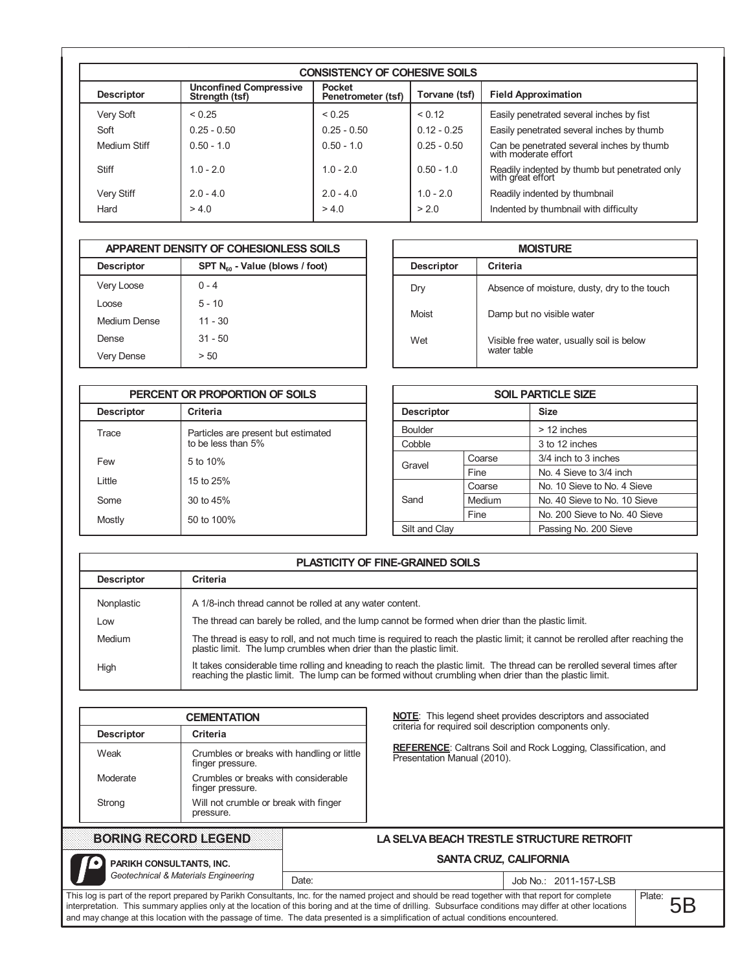|                   | <b>CONSISTENCY OF COHESIVE SOILS</b>            |                                     |               |                                                                    |  |  |  |  |  |  |  |  |  |  |
|-------------------|-------------------------------------------------|-------------------------------------|---------------|--------------------------------------------------------------------|--|--|--|--|--|--|--|--|--|--|
| <b>Descriptor</b> | <b>Unconfined Compressive</b><br>Strength (tsf) | <b>Pocket</b><br>Penetrometer (tsf) | Torvane (tsf) | <b>Field Approximation</b>                                         |  |  |  |  |  |  |  |  |  |  |
| Very Soft         | < 0.25                                          | < 0.25                              | < 0.12        | Easily penetrated several inches by fist                           |  |  |  |  |  |  |  |  |  |  |
| Soft              | $0.25 - 0.50$                                   | $0.25 - 0.50$                       | $0.12 - 0.25$ | Easily penetrated several inches by thumb                          |  |  |  |  |  |  |  |  |  |  |
| Medium Stiff      | $0.50 - 1.0$                                    | $0.50 - 1.0$                        | $0.25 - 0.50$ | Can be penetrated several inches by thumb<br>with moderate effort  |  |  |  |  |  |  |  |  |  |  |
| <b>Stiff</b>      | $1.0 - 2.0$                                     | $1.0 - 2.0$                         | $0.50 - 1.0$  | Readily indented by thumb but penetrated only<br>with great effort |  |  |  |  |  |  |  |  |  |  |
| Very Stiff        | $2.0 - 4.0$                                     | $2.0 - 4.0$                         | $10 - 20$     | Readily indented by thumbnail                                      |  |  |  |  |  |  |  |  |  |  |
| Hard              | > 4.0                                           | > 4.0                               | > 2.0         | Indented by thumbnail with difficulty                              |  |  |  |  |  |  |  |  |  |  |

|                   | APPARENT DENSITY OF COHESIONLESS SOILS |
|-------------------|----------------------------------------|
| <b>Descriptor</b> | $SPT N_{60}$ - Value (blows / foot)    |
| Very Loose        | $0 - 4$                                |
| Loose             | $5 - 10$                               |
| Medium Dense      | $11 - 30$                              |
| Dense             | $31 - 50$                              |
| Very Dense        | > 50                                   |

|                   | PERCENT OR PROPORTION OF SOILS                            |
|-------------------|-----------------------------------------------------------|
| <b>Descriptor</b> | Criteria                                                  |
| <b>Trace</b>      | Particles are present but estimated<br>to be less than 5% |
| Few               | 5 to 10%                                                  |
| l ittle           | 15 to 25%                                                 |
| Some              | 30 to 45%                                                 |
| Mostly            | 50 to 100%                                                |

|                   | <b>MOISTURE</b>                                          |  |  |  |  |  |  |  |  |  |  |
|-------------------|----------------------------------------------------------|--|--|--|--|--|--|--|--|--|--|
| <b>Descriptor</b> | Criteria                                                 |  |  |  |  |  |  |  |  |  |  |
| Dry               | Absence of moisture, dusty, dry to the touch             |  |  |  |  |  |  |  |  |  |  |
| Moist             | Damp but no visible water                                |  |  |  |  |  |  |  |  |  |  |
| Wet               | Visible free water, usually soil is below<br>water table |  |  |  |  |  |  |  |  |  |  |

|                   |        | <b>SOIL PARTICLE SIZE</b>     |
|-------------------|--------|-------------------------------|
| <b>Descriptor</b> |        | <b>Size</b>                   |
| <b>Boulder</b>    |        | > 12 inches                   |
| Cobble            |        | 3 to 12 inches                |
| Gravel            | Coarse | 3/4 inch to 3 inches          |
|                   | Fine   | No. 4 Sieve to 3/4 inch       |
|                   | Coarse | No. 10 Sieve to No. 4 Sieve   |
| Sand              | Medium | No. 40 Sieve to No. 10 Sieve  |
|                   | Fine   | No. 200 Sieve to No. 40 Sieve |
| Silt and Clay     |        | Passing No. 200 Sieve         |

|                   | <b>PLASTICITY OF FINE-GRAINED SOILS</b>                                                                                                                                                                                               |
|-------------------|---------------------------------------------------------------------------------------------------------------------------------------------------------------------------------------------------------------------------------------|
| <b>Descriptor</b> | <b>Criteria</b>                                                                                                                                                                                                                       |
| Nonplastic        | A 1/8-inch thread cannot be rolled at any water content.                                                                                                                                                                              |
| LOW               | The thread can barely be rolled, and the lump cannot be formed when drier than the plastic limit.                                                                                                                                     |
| Medium            | The thread is easy to roll, and not much time is required to reach the plastic limit; it cannot be rerolled after reaching the<br>plastic limit. The lump crumbles when drier than the plastic limit.                                 |
| High              | It takes considerable time rolling and kneading to reach the plastic limit. The thread can be rerolled several times after<br>reaching the plastic limit. The lump can be formed without crumbling when drier than the plastic limit. |

| <b>CEMENTATION</b> |                                                                | <b>NOTE:</b> This legend sheet provides descriptors and associated                                   |
|--------------------|----------------------------------------------------------------|------------------------------------------------------------------------------------------------------|
| <b>Descriptor</b>  | Criteria                                                       | criteria for required soil description components only.                                              |
| Weak               | Crumbles or breaks with handling or little<br>finger pressure. | <b>REFERENCE:</b> Caltrans Soil and Rock Logging, Classification, and<br>Presentation Manual (2010). |
| Moderate           | Crumbles or breaks with considerable<br>finger pressure.       |                                                                                                      |
| Strong             | Will not crumble or break with finger<br>pressure.             |                                                                                                      |

LA SELVA BEACH TRESTLE STRUCTURE RETROFIT

## SANTA CRUZ, CALIFORNIA

o PARIKH CONSULTANTS, INC. Geotechnical & Materials Engineering

## Job No.: 2011-157-LSB

This log is part of the report prepared by Parikh Consultants, Inc. for the named project and should be read together with that report for complete interpretation. This summary applies only at the location of this boring and at the time of drilling. Subsurface conditions may differ at other locations and may change at this location with the passage of time. The data presented is a simplification of actual conditions encountered.

Date:

Plate:  $5B$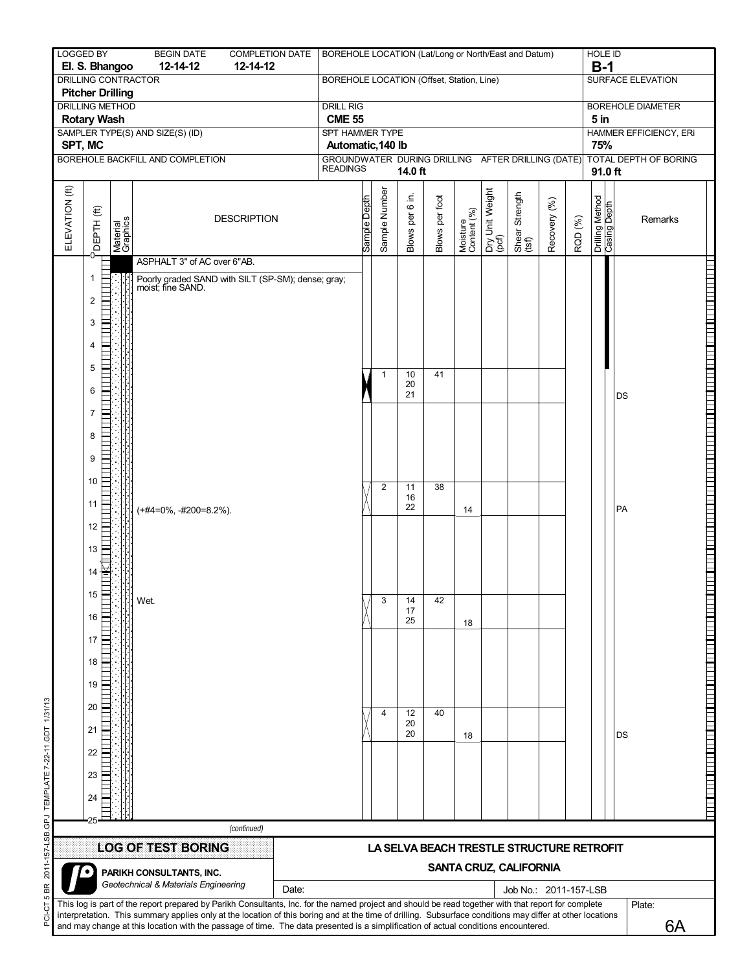| <b>LOGGED BY</b> | El. S. Bhangoo                                            | <b>BEGIN DATE</b><br>12-14-12                                                                                                                                                                                                                                                                                                                                                                                                                          | <b>COMPLETION DATE</b><br>12-14-12                                   | BOREHOLE LOCATION (Lat/Long or North/East and Datum)                   |              |                |                   |                |                         |                          |                                                                     |              |         | <b>HOLE ID</b><br>$B-1$                |                          |         |                                                                                        |  |
|------------------|-----------------------------------------------------------|--------------------------------------------------------------------------------------------------------------------------------------------------------------------------------------------------------------------------------------------------------------------------------------------------------------------------------------------------------------------------------------------------------------------------------------------------------|----------------------------------------------------------------------|------------------------------------------------------------------------|--------------|----------------|-------------------|----------------|-------------------------|--------------------------|---------------------------------------------------------------------|--------------|---------|----------------------------------------|--------------------------|---------|----------------------------------------------------------------------------------------|--|
|                  | DRILLING CONTRACTOR<br><b>Pitcher Drilling</b>            |                                                                                                                                                                                                                                                                                                                                                                                                                                                        |                                                                      | BOREHOLE LOCATION (Offset, Station, Line)                              |              |                |                   |                |                         |                          |                                                                     |              |         |                                        | SURFACE ELEVATION        |         |                                                                                        |  |
|                  | <b>DRILLING METHOD</b>                                    |                                                                                                                                                                                                                                                                                                                                                                                                                                                        |                                                                      | <b>DRILL RIG</b>                                                       |              |                |                   |                |                         |                          |                                                                     |              |         |                                        | <b>BOREHOLE DIAMETER</b> |         |                                                                                        |  |
|                  | <b>Rotary Wash</b>                                        | SAMPLER TYPE(S) AND SIZE(S) (ID)                                                                                                                                                                                                                                                                                                                                                                                                                       |                                                                      | <b>CME 55</b><br>SPT HAMMER TYPE                                       |              |                |                   |                |                         |                          |                                                                     |              |         | 5 <sub>in</sub>                        | HAMMER EFFICIENCY, ERI   |         |                                                                                        |  |
| SPT, MC          |                                                           | BOREHOLE BACKFILL AND COMPLETION                                                                                                                                                                                                                                                                                                                                                                                                                       |                                                                      | Automatic, 140 lb<br>GROUNDWATER DURING DRILLING AFTER DRILLING (DATE) |              |                |                   |                |                         |                          |                                                                     |              |         | 75%<br>TOTAL DEPTH OF BORING           |                          |         |                                                                                        |  |
|                  |                                                           |                                                                                                                                                                                                                                                                                                                                                                                                                                                        |                                                                      | <b>READINGS</b><br>14.0 ft                                             |              |                |                   |                |                         |                          |                                                                     |              |         | 91.0 ft                                |                          |         |                                                                                        |  |
| ELEVATION (ft)   | $\widehat{\mathfrak{m}}$<br>Material<br>Graphics<br>DEPTH |                                                                                                                                                                                                                                                                                                                                                                                                                                                        | <b>DESCRIPTION</b>                                                   |                                                                        | Sample Depth | Sample Number  | ⊇.<br>Blows per 6 | Blows per foot | Moisture<br>Content (%) | Dry Unit Weight<br>(pcf) | Shear Strength<br>(tsf)                                             | Recovery (%) | RQD (%) | <b>Higad Buiseo</b><br>Dullah Builliud |                          | Remarks |                                                                                        |  |
|                  |                                                           | ASPHALT 3" of AC over 6"AB.                                                                                                                                                                                                                                                                                                                                                                                                                            |                                                                      |                                                                        |              |                |                   |                |                         |                          |                                                                     |              |         |                                        |                          |         |                                                                                        |  |
|                  | 1<br>2<br>3<br>4<br>5                                     |                                                                                                                                                                                                                                                                                                                                                                                                                                                        | Poorly graded SAND with SILT (SP-SM); dense; gray; moist; fine SAND. |                                                                        |              | $\mathbf{1}$   | 10<br>20          | 41             |                         |                          |                                                                     |              |         |                                        |                          |         | <u>TERA KANA TERTETAK ANALI ETA BERTAMA DENGAN BERTAMA DENGAN BERTAMA DENGAN BERTA</u> |  |
|                  | 6<br>$\overline{7}$<br>8<br>9                             |                                                                                                                                                                                                                                                                                                                                                                                                                                                        |                                                                      |                                                                        |              |                | 21                |                |                         |                          |                                                                     |              |         |                                        | DS                       |         |                                                                                        |  |
|                  | 10<br>11                                                  | (+#4=0%, -#200=8.2%).                                                                                                                                                                                                                                                                                                                                                                                                                                  |                                                                      |                                                                        |              | $\overline{c}$ | 11<br>16<br>22    | 38             | 14                      |                          |                                                                     |              |         |                                        | PA                       |         |                                                                                        |  |
|                  | 12<br>13<br>14                                            |                                                                                                                                                                                                                                                                                                                                                                                                                                                        |                                                                      |                                                                        |              |                |                   |                |                         |                          |                                                                     |              |         |                                        |                          |         |                                                                                        |  |
|                  | 15<br>16<br>17                                            | Wet.                                                                                                                                                                                                                                                                                                                                                                                                                                                   |                                                                      |                                                                        |              | 3              | 14<br>17<br>25    | 42             | 18                      |                          |                                                                     |              |         |                                        |                          |         |                                                                                        |  |
|                  | 18<br>19                                                  |                                                                                                                                                                                                                                                                                                                                                                                                                                                        |                                                                      |                                                                        |              |                |                   |                |                         |                          |                                                                     |              |         |                                        |                          |         | TE DE L'ANTILITE DE L'ANGUER DE L'ANGUER DE L'ANGUE                                    |  |
|                  | 20<br>21                                                  |                                                                                                                                                                                                                                                                                                                                                                                                                                                        |                                                                      |                                                                        |              | 4              | 12<br>20<br>20    | 40             | 18                      |                          |                                                                     |              |         |                                        | DS                       |         |                                                                                        |  |
|                  | 22<br>23<br>24                                            |                                                                                                                                                                                                                                                                                                                                                                                                                                                        |                                                                      |                                                                        |              |                |                   |                |                         |                          |                                                                     |              |         |                                        |                          |         |                                                                                        |  |
|                  |                                                           |                                                                                                                                                                                                                                                                                                                                                                                                                                                        |                                                                      |                                                                        |              |                |                   |                |                         |                          |                                                                     |              |         |                                        |                          |         |                                                                                        |  |
|                  |                                                           |                                                                                                                                                                                                                                                                                                                                                                                                                                                        | (continued)                                                          |                                                                        |              |                |                   |                |                         |                          |                                                                     |              |         |                                        |                          |         |                                                                                        |  |
|                  |                                                           | <b>LOG OF TEST BORING</b>                                                                                                                                                                                                                                                                                                                                                                                                                              |                                                                      |                                                                        |              |                |                   |                |                         |                          | LA SELVA BEACH TRESTLE STRUCTURE RETROFIT<br>SANTA CRUZ, CALIFORNIA |              |         |                                        |                          |         |                                                                                        |  |
|                  |                                                           | PARIKH CONSULTANTS, INC.<br>Geotechnical & Materials Engineering                                                                                                                                                                                                                                                                                                                                                                                       | Date:                                                                |                                                                        |              |                |                   |                |                         |                          | Job No.: 2011-157-LSB                                               |              |         |                                        |                          |         |                                                                                        |  |
|                  |                                                           | This log is part of the report prepared by Parikh Consultants, Inc. for the named project and should be read together with that report for complete<br>interpretation. This summary applies only at the location of this boring and at the time of drilling. Subsurface conditions may differ at other locations<br>and may change at this location with the passage of time. The data presented is a simplification of actual conditions encountered. |                                                                      |                                                                        |              |                |                   |                |                         |                          |                                                                     |              |         |                                        | Plate:                   | 6A      |                                                                                        |  |

PCI-CT 5 BR 2011-157-LSB.GPJ TEMPLATE 7-22-11.GDT 1/31/13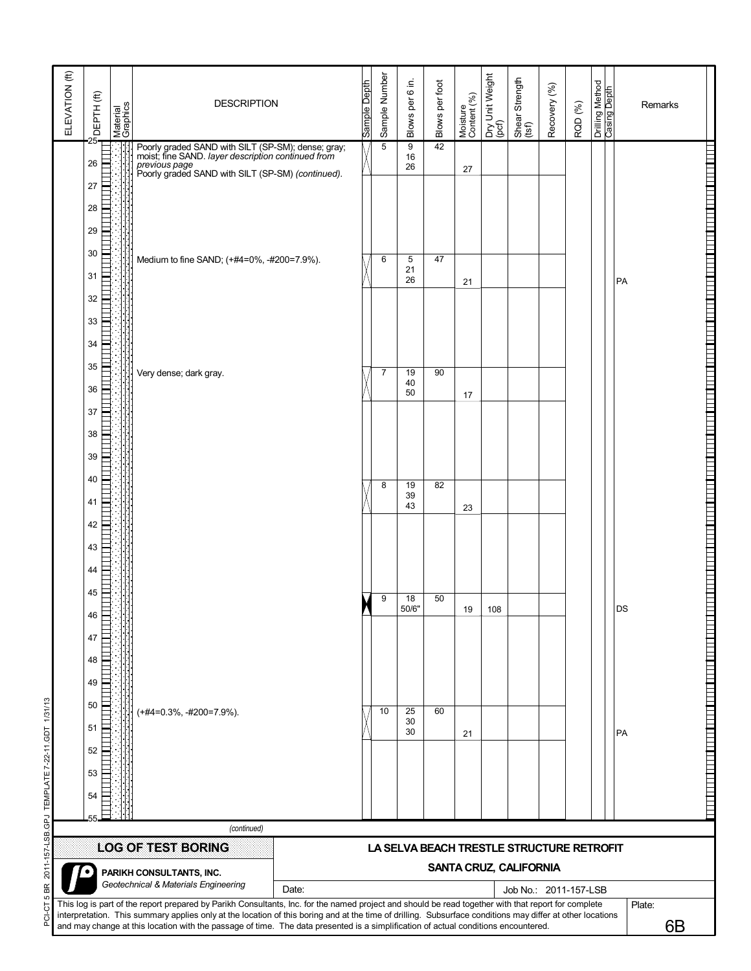| ELEVATION (ft) | DEPTH(ft)            | Material<br>Graphics | <b>DESCRIPTION</b>                                                                                                                                                                                                                                                                                                                                                                                                                                     |       | Sample Depth | Sample Number  | Blows per 6 in. | Blows per foot | Moisture<br>Content (%) | Dry Unit Weight<br>(pcf) | Shear Strength<br>(tsf)                   | Recovery (%) | RQD (%) | Drilling Method<br>Casing Depth | Remarks      |                                                                                                                      |
|----------------|----------------------|----------------------|--------------------------------------------------------------------------------------------------------------------------------------------------------------------------------------------------------------------------------------------------------------------------------------------------------------------------------------------------------------------------------------------------------------------------------------------------------|-------|--------------|----------------|-----------------|----------------|-------------------------|--------------------------|-------------------------------------------|--------------|---------|---------------------------------|--------------|----------------------------------------------------------------------------------------------------------------------|
|                | 26<br>27<br>28       |                      | Poorly graded SAND with SILT (SP-SM); dense; gray;<br>moist; fine SAND. layer description continued from<br>previous page<br>Poorly graded SAND with SILT (SP-SM) (continued).                                                                                                                                                                                                                                                                         |       |              | $\overline{5}$ | 9<br>16<br>26   | 42             | 27                      |                          |                                           |              |         |                                 |              |                                                                                                                      |
|                | 29<br>30<br>31<br>32 |                      | Medium to fine SAND; (+#4=0%, -#200=7.9%).                                                                                                                                                                                                                                                                                                                                                                                                             |       |              | 6              | 5<br>21<br>26   | 47             | 21                      |                          |                                           |              |         |                                 | PA           |                                                                                                                      |
|                | 33<br>34<br>35       |                      | Very dense; dark gray.                                                                                                                                                                                                                                                                                                                                                                                                                                 |       |              | $\overline{7}$ | 19<br>40        | 90             |                         |                          |                                           |              |         |                                 |              |                                                                                                                      |
|                | 36<br>37<br>38<br>39 |                      |                                                                                                                                                                                                                                                                                                                                                                                                                                                        |       |              |                | 50              |                | 17                      |                          |                                           |              |         |                                 |              | ז ותחרק זותה זה היה ביתר זהות התחרק להתוך התחרק ומוקד ומוקד זותה זה הדור בתחרק התקדשות התחרק התחרק היה בתחרק         |
|                | 40<br>41<br>42<br>43 |                      |                                                                                                                                                                                                                                                                                                                                                                                                                                                        |       |              | 8              | 19<br>39<br>43  | 82             | 23                      |                          |                                           |              |         |                                 |              |                                                                                                                      |
|                | 44<br>45<br>46<br>47 |                      |                                                                                                                                                                                                                                                                                                                                                                                                                                                        |       |              | 9              | 18<br>50/6"     | 50             | 19                      | 108                      |                                           |              |         |                                 | DS           |                                                                                                                      |
| 1/31/13        | 48<br>49<br>50<br>51 |                      | $(+#4=0.3\%, +#200=7.9\%).$                                                                                                                                                                                                                                                                                                                                                                                                                            |       |              | 10             | 25<br>30        | 60             |                         |                          |                                           |              |         |                                 |              | <u>A BARA A BARA A BARA A BARA A BARA A BARA A BARA A BARA A BARA A BARA A BARA A BARA A BARA A BARA A BARA A BA</u> |
| <b>LOS</b>     | 52<br>53<br>54       |                      |                                                                                                                                                                                                                                                                                                                                                                                                                                                        |       |              |                | 30              |                | 21                      |                          |                                           |              |         |                                 | PA           |                                                                                                                      |
|                |                      |                      | (continued)                                                                                                                                                                                                                                                                                                                                                                                                                                            |       |              |                |                 |                |                         |                          |                                           |              |         |                                 |              |                                                                                                                      |
|                |                      |                      | <b>LOG OF TEST BORING</b>                                                                                                                                                                                                                                                                                                                                                                                                                              |       |              |                |                 |                |                         |                          | LA SELVA BEACH TRESTLE STRUCTURE RETROFIT |              |         |                                 |              |                                                                                                                      |
|                |                      |                      | PARIKH CONSULTANTS, INC.                                                                                                                                                                                                                                                                                                                                                                                                                               |       |              |                |                 |                |                         |                          | <b>SANTA CRUZ, CALIFORNIA</b>             |              |         |                                 |              |                                                                                                                      |
|                |                      |                      | Geotechnical & Materials Engineering                                                                                                                                                                                                                                                                                                                                                                                                                   | Date: |              |                |                 |                |                         |                          | Job No.: 2011-157-LSB                     |              |         |                                 |              |                                                                                                                      |
|                |                      |                      | This log is part of the report prepared by Parikh Consultants, Inc. for the named project and should be read together with that report for complete<br>interpretation. This summary applies only at the location of this boring and at the time of drilling. Subsurface conditions may differ at other locations<br>and may change at this location with the passage of time. The data presented is a simplification of actual conditions encountered. |       |              |                |                 |                |                         |                          |                                           |              |         |                                 | Plate:<br>6B |                                                                                                                      |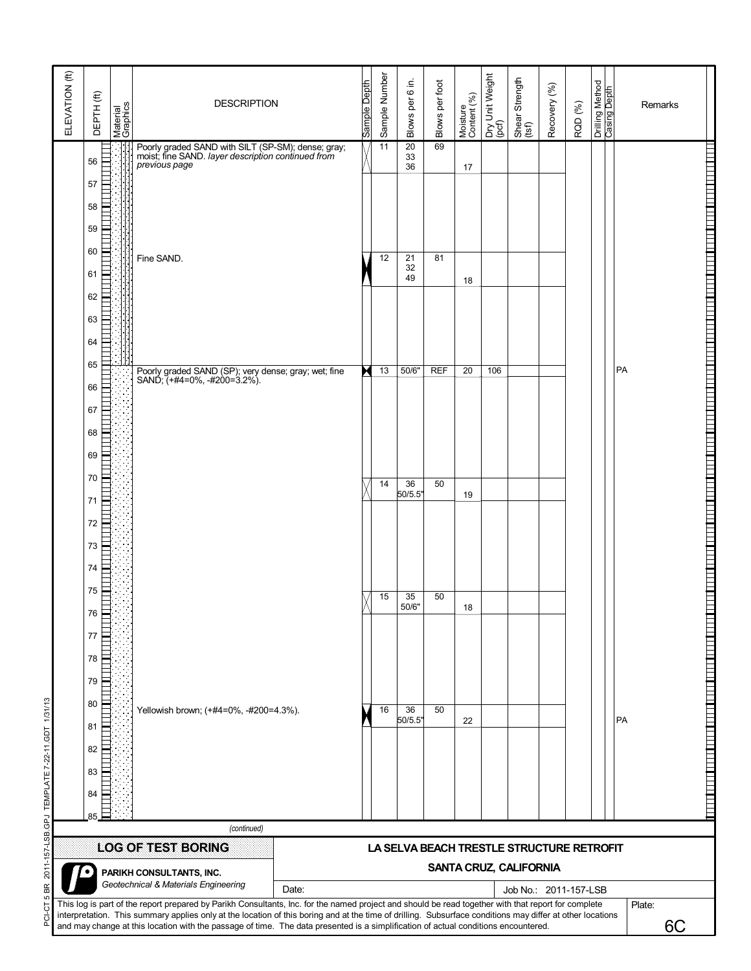| ELEVATION (ft)    | DEPTH(ft)      | Material<br>Graphics | <b>DESCRIPTION</b>                                                                                                                                                                                                                                                                                                                                                                                                                                     |       | Sample Depth | Sample Number   | $6$ in.<br>Blows per 6      | Blows per foot | Moisture<br>Content (%) | Dry Unit Weight<br>(pcf) | Shear Strength<br>(tsf)                         | Recovery (%) | RQD (%) | Drilling Method<br><b>Casing Depth</b> | Remarks      |                                 |
|-------------------|----------------|----------------------|--------------------------------------------------------------------------------------------------------------------------------------------------------------------------------------------------------------------------------------------------------------------------------------------------------------------------------------------------------------------------------------------------------------------------------------------------------|-------|--------------|-----------------|-----------------------------|----------------|-------------------------|--------------------------|-------------------------------------------------|--------------|---------|----------------------------------------|--------------|---------------------------------|
|                   | 56<br>57       |                      | Poorly graded SAND with SILT (SP-SM); dense; gray;<br>moist; fine SAND. layer description continued from<br>previous page                                                                                                                                                                                                                                                                                                                              |       |              | $\overline{11}$ | $\overline{20}$<br>33<br>36 | 69             | 17                      |                          |                                                 |              |         |                                        |              | $\overline{a}$                  |
|                   | 58<br>59<br>60 |                      | Fine SAND.                                                                                                                                                                                                                                                                                                                                                                                                                                             |       |              | 12              | 21                          | 81             |                         |                          |                                                 |              |         |                                        |              |                                 |
|                   | 61<br>62<br>63 |                      |                                                                                                                                                                                                                                                                                                                                                                                                                                                        |       |              |                 | 32<br>49                    |                | 18                      |                          |                                                 |              |         |                                        |              |                                 |
|                   | 64<br>65       |                      | Poorly graded SAND (SP); very dense; gray; wet; fine<br>SAND; (+#4=0%, -#200=3.2%).                                                                                                                                                                                                                                                                                                                                                                    |       |              | 13              | 50/6"                       | <b>REF</b>     | 20                      | 106                      |                                                 |              |         |                                        | PA           |                                 |
|                   | 66<br>67<br>68 |                      |                                                                                                                                                                                                                                                                                                                                                                                                                                                        |       |              |                 |                             |                |                         |                          |                                                 |              |         |                                        |              |                                 |
|                   | 69<br>70<br>71 |                      |                                                                                                                                                                                                                                                                                                                                                                                                                                                        |       |              | 14              | 36<br>50/5.5"               | 50             | 19                      |                          |                                                 |              |         |                                        |              |                                 |
|                   | 72<br>73<br>74 |                      |                                                                                                                                                                                                                                                                                                                                                                                                                                                        |       |              |                 |                             |                |                         |                          |                                                 |              |         |                                        |              | $\overline{a}$<br><b>Formal</b> |
|                   | 75<br>76<br>77 |                      |                                                                                                                                                                                                                                                                                                                                                                                                                                                        |       |              | 15              | 35<br>50/6"                 | 50             | 18                      |                          |                                                 |              |         |                                        |              | $\overline{a}$                  |
|                   | 78<br>79<br>80 |                      |                                                                                                                                                                                                                                                                                                                                                                                                                                                        |       |              |                 |                             |                |                         |                          |                                                 |              |         |                                        |              | $\overline{a}$<br>$\equiv$      |
| 22-11.GDT 1/31/13 | 81<br>82       |                      | Yellowish brown; (+#4=0%, -#200=4.3%).                                                                                                                                                                                                                                                                                                                                                                                                                 |       |              | 16              | 36<br>50/5.5"               | 50             | 22                      |                          |                                                 |              |         |                                        | PA           | E                               |
|                   | 83<br>84<br>85 |                      |                                                                                                                                                                                                                                                                                                                                                                                                                                                        |       |              |                 |                             |                |                         |                          |                                                 |              |         |                                        |              |                                 |
|                   |                |                      | (continued)<br><b>LOG OF TEST BORING</b>                                                                                                                                                                                                                                                                                                                                                                                                               |       |              |                 |                             |                |                         |                          | LA SELVA BEACH TRESTLE STRUCTURE RETROFIT       |              |         |                                        |              |                                 |
|                   |                |                      | PARIKH CONSULTANTS, INC.<br>Geotechnical & Materials Engineering                                                                                                                                                                                                                                                                                                                                                                                       | Date: |              |                 |                             |                |                         |                          | SANTA CRUZ, CALIFORNIA<br>Job No.: 2011-157-LSB |              |         |                                        |              |                                 |
|                   |                |                      | This log is part of the report prepared by Parikh Consultants, Inc. for the named project and should be read together with that report for complete<br>interpretation. This summary applies only at the location of this boring and at the time of drilling. Subsurface conditions may differ at other locations<br>and may change at this location with the passage of time. The data presented is a simplification of actual conditions encountered. |       |              |                 |                             |                |                         |                          |                                                 |              |         |                                        | Plate:<br>6C |                                 |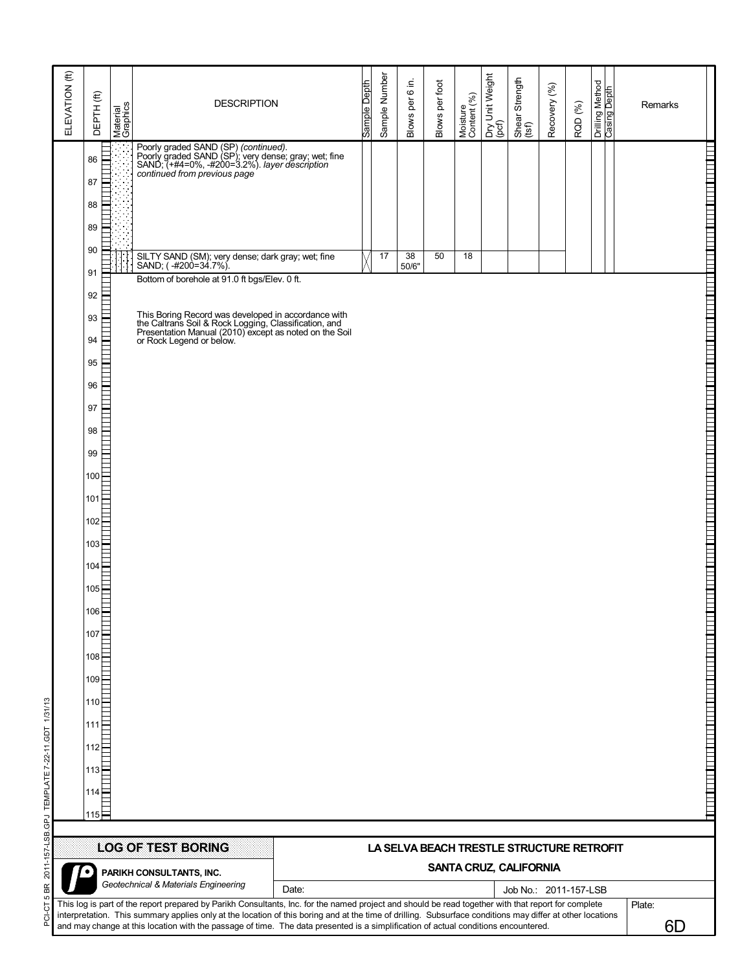| ELEVATION (ft)            | $DEFTH$ (ft)                                                                                                                                       | Material<br>Graphics | <b>DESCRIPTION</b>                                                                                                                                                            |                                                                                                                                                                                                                                                                                                                                                                                                                                                                                 | Sample Depth | Sample Number | Blows per 6 in. | Blows per foot | Moisture<br>Content (%) | Dry Unit Weight<br>(pcf) | Shear Strength<br>(tsf)                                             | Recovery (%) | RQD (%) | Drilling Method<br><b>Casing Depth</b> |  | Remarks                                                                                                    |
|---------------------------|----------------------------------------------------------------------------------------------------------------------------------------------------|----------------------|-------------------------------------------------------------------------------------------------------------------------------------------------------------------------------|---------------------------------------------------------------------------------------------------------------------------------------------------------------------------------------------------------------------------------------------------------------------------------------------------------------------------------------------------------------------------------------------------------------------------------------------------------------------------------|--------------|---------------|-----------------|----------------|-------------------------|--------------------------|---------------------------------------------------------------------|--------------|---------|----------------------------------------|--|------------------------------------------------------------------------------------------------------------|
|                           | 86<br>87<br>88                                                                                                                                     |                      | Poorly graded SAND (SP) (continued).<br>Poorly graded SAND (SP); very dense; gray; wet; fine<br>SAND; (+#4=0%, -#200=3.2%). layer description<br>continued from previous page |                                                                                                                                                                                                                                                                                                                                                                                                                                                                                 |              |               |                 |                |                         |                          |                                                                     |              |         |                                        |  | ותו למחבר להורה למוד המהו המהו במהו במה למחבר למדו למדו המה המה למוד ממה למחבר המה למדו המה למדו למדו למוד |
|                           | 89<br>90<br>91                                                                                                                                     |                      | SILTY SAND (SM); very dense; dark gray; wet; fine<br>SAND; (-#200=34.7%).<br>Bottom of borehole at 91.0 ft bgs/Elev. 0 ft.                                                    |                                                                                                                                                                                                                                                                                                                                                                                                                                                                                 |              | 17            | 38<br>50/6"     | 50             | 18                      |                          |                                                                     |              |         |                                        |  |                                                                                                            |
|                           | 92<br>93<br>ē                                                                                                                                      |                      | This Boring Record was developed in accordance with<br>the Caltrans Soil & Rock Logging, Classification, and<br>Presentation Manual (2010) except as noted on the Soil        |                                                                                                                                                                                                                                                                                                                                                                                                                                                                                 |              |               |                 |                |                         |                          |                                                                     |              |         |                                        |  |                                                                                                            |
|                           | 94<br>E<br>95<br>96                                                                                                                                |                      | or Rock Legend or below.                                                                                                                                                      |                                                                                                                                                                                                                                                                                                                                                                                                                                                                                 |              |               |                 |                |                         |                          |                                                                     |              |         |                                        |  |                                                                                                            |
|                           | 97<br>98<br>E<br>99                                                                                                                                |                      |                                                                                                                                                                               |                                                                                                                                                                                                                                                                                                                                                                                                                                                                                 |              |               |                 |                |                         |                          |                                                                     |              |         |                                        |  |                                                                                                            |
|                           | $100 \equiv$<br>$101\equiv$<br>$102 \begin{array}{ c c }\n\hline\n\end{array}$                                                                     |                      |                                                                                                                                                                               |                                                                                                                                                                                                                                                                                                                                                                                                                                                                                 |              |               |                 |                |                         |                          |                                                                     |              |         |                                        |  |                                                                                                            |
|                           | $103\equiv$<br>$\begin{array}{c}\n104 \\ \hline\n\end{array}$                                                                                      |                      |                                                                                                                                                                               |                                                                                                                                                                                                                                                                                                                                                                                                                                                                                 |              |               |                 |                |                         |                          |                                                                     |              |         |                                        |  |                                                                                                            |
|                           | $\begin{array}{c}\n105 \\ \hline\n\end{array}\n\begin{array}{c}\n\hline\n\end{array}$ $\begin{array}{c}\n106 \\ \hline\n\end{array}$<br>106<br>107 |                      |                                                                                                                                                                               |                                                                                                                                                                                                                                                                                                                                                                                                                                                                                 |              |               |                 |                |                         |                          |                                                                     |              |         |                                        |  |                                                                                                            |
|                           | $108 -$<br>$109$ $-$<br>110                                                                                                                        |                      |                                                                                                                                                                               |                                                                                                                                                                                                                                                                                                                                                                                                                                                                                 |              |               |                 |                |                         |                          |                                                                     |              |         |                                        |  |                                                                                                            |
| $-22 - 11$ .GDT $1/31/13$ | 111<br>$112\equiv$<br>$113\equiv$                                                                                                                  |                      |                                                                                                                                                                               |                                                                                                                                                                                                                                                                                                                                                                                                                                                                                 |              |               |                 |                |                         |                          |                                                                     |              |         |                                        |  |                                                                                                            |
| GPJ TEMPLATE 7.<br>œ      | 114<br>$115 -$                                                                                                                                     |                      |                                                                                                                                                                               |                                                                                                                                                                                                                                                                                                                                                                                                                                                                                 |              |               |                 |                |                         |                          |                                                                     |              |         |                                        |  |                                                                                                            |
| U.<br>Ļ.                  |                                                                                                                                                    |                      | <b>LOG OF TEST BORING</b><br>PARIKH CONSULTANTS, INC.                                                                                                                         |                                                                                                                                                                                                                                                                                                                                                                                                                                                                                 |              |               |                 |                |                         |                          | LA SELVA BEACH TRESTLE STRUCTURE RETROFIT<br>SANTA CRUZ, CALIFORNIA |              |         |                                        |  |                                                                                                            |
|                           |                                                                                                                                                    |                      | Geotechnical & Materials Engineering                                                                                                                                          | Date:                                                                                                                                                                                                                                                                                                                                                                                                                                                                           |              |               |                 |                |                         |                          |                                                                     |              |         |                                        |  |                                                                                                            |
|                           |                                                                                                                                                    |                      |                                                                                                                                                                               | Job No.: 2011-157-LSB<br>This log is part of the report prepared by Parikh Consultants, Inc. for the named project and should be read together with that report for complete<br>interpretation. This summary applies only at the location of this boring and at the time of drilling. Subsurface conditions may differ at other locations<br>and may change at this location with the passage of time. The data presented is a simplification of actual conditions encountered. |              |               |                 |                |                         |                          |                                                                     |              | Plate:  | 6D                                     |  |                                                                                                            |

<u>טט</u>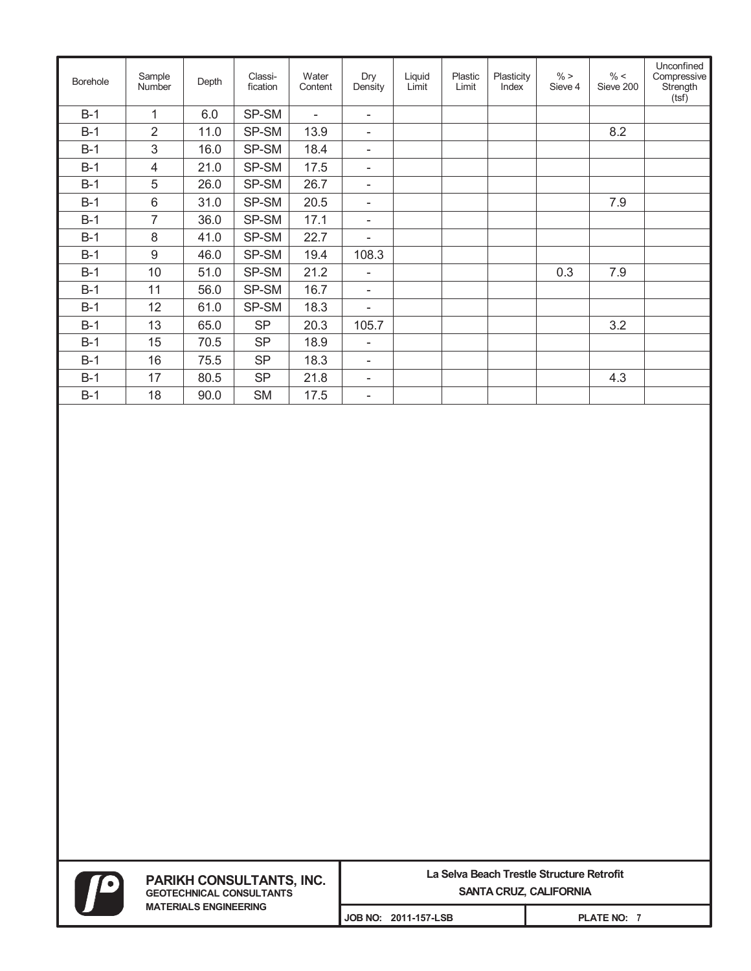| <b>Borehole</b> | Sample<br><b>Number</b> | Depth | Classi-<br>fication | Water<br>Content | Dry<br>Density           | Liquid<br>Limit | Plastic<br>Limit | Plasticity<br>Index | $\% >$<br>Sieve 4 | $\% <$<br>Sieve 200 | Unconfined<br>Compressive<br>Strength<br>(tsf) |
|-----------------|-------------------------|-------|---------------------|------------------|--------------------------|-----------------|------------------|---------------------|-------------------|---------------------|------------------------------------------------|
| $B-1$           | 1                       | 6.0   | SP-SM               | $\blacksquare$   | $\overline{\phantom{a}}$ |                 |                  |                     |                   |                     |                                                |
| $B-1$           | $\overline{2}$          | 11.0  | SP-SM               | 13.9             | $\overline{\phantom{a}}$ |                 |                  |                     |                   | 8.2                 |                                                |
| $B-1$           | 3                       | 16.0  | SP-SM               | 18.4             | $\overline{\phantom{a}}$ |                 |                  |                     |                   |                     |                                                |
| $B-1$           | 4                       | 21.0  | SP-SM               | 17.5             | $\overline{\phantom{a}}$ |                 |                  |                     |                   |                     |                                                |
| $B-1$           | 5                       | 26.0  | SP-SM               | 26.7             | $\overline{\phantom{a}}$ |                 |                  |                     |                   |                     |                                                |
| $B-1$           | 6                       | 31.0  | SP-SM               | 20.5             | $\overline{\phantom{a}}$ |                 |                  |                     |                   | 7.9                 |                                                |
| $B-1$           | $\overline{7}$          | 36.0  | SP-SM               | 17.1             | $\overline{\phantom{a}}$ |                 |                  |                     |                   |                     |                                                |
| $B-1$           | 8                       | 41.0  | SP-SM               | 22.7             | $\overline{\phantom{a}}$ |                 |                  |                     |                   |                     |                                                |
| $B-1$           | $9\,$                   | 46.0  | SP-SM               | 19.4             | 108.3                    |                 |                  |                     |                   |                     |                                                |
| $B-1$           | 10                      | 51.0  | SP-SM               | 21.2             | $\overline{\phantom{a}}$ |                 |                  |                     | 0.3               | 7.9                 |                                                |
| $B-1$           | 11                      | 56.0  | SP-SM               | 16.7             | $\overline{\phantom{a}}$ |                 |                  |                     |                   |                     |                                                |
| $B-1$           | 12                      | 61.0  | SP-SM               | 18.3             | $\overline{\phantom{a}}$ |                 |                  |                     |                   |                     |                                                |
| $B-1$           | 13                      | 65.0  | <b>SP</b>           | 20.3             | 105.7                    |                 |                  |                     |                   | 3.2                 |                                                |
| $B-1$           | 15                      | 70.5  | <b>SP</b>           | 18.9             | $\overline{\phantom{a}}$ |                 |                  |                     |                   |                     |                                                |
| $B-1$           | 16                      | 75.5  | <b>SP</b>           | 18.3             | $\overline{\phantom{a}}$ |                 |                  |                     |                   |                     |                                                |
| $B-1$           | 17                      | 80.5  | <b>SP</b>           | 21.8             | $\overline{\phantom{a}}$ |                 |                  |                     |                   | 4.3                 |                                                |
| $B-1$           | 18                      | 90.0  | <b>SM</b>           | 17.5             | $\overline{\phantom{a}}$ |                 |                  |                     |                   |                     |                                                |

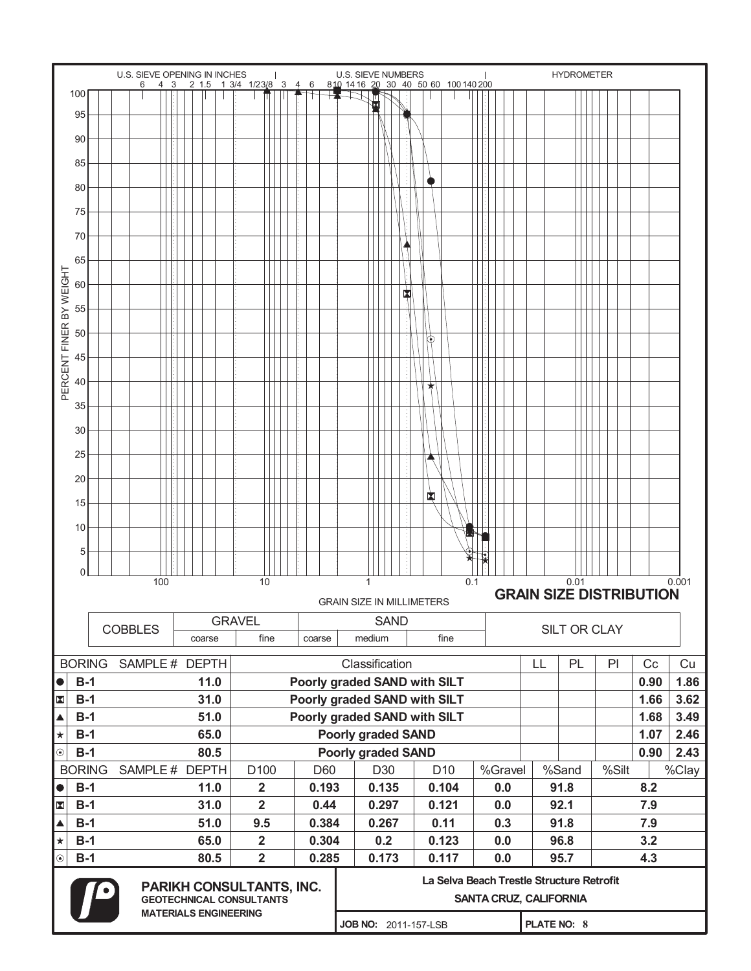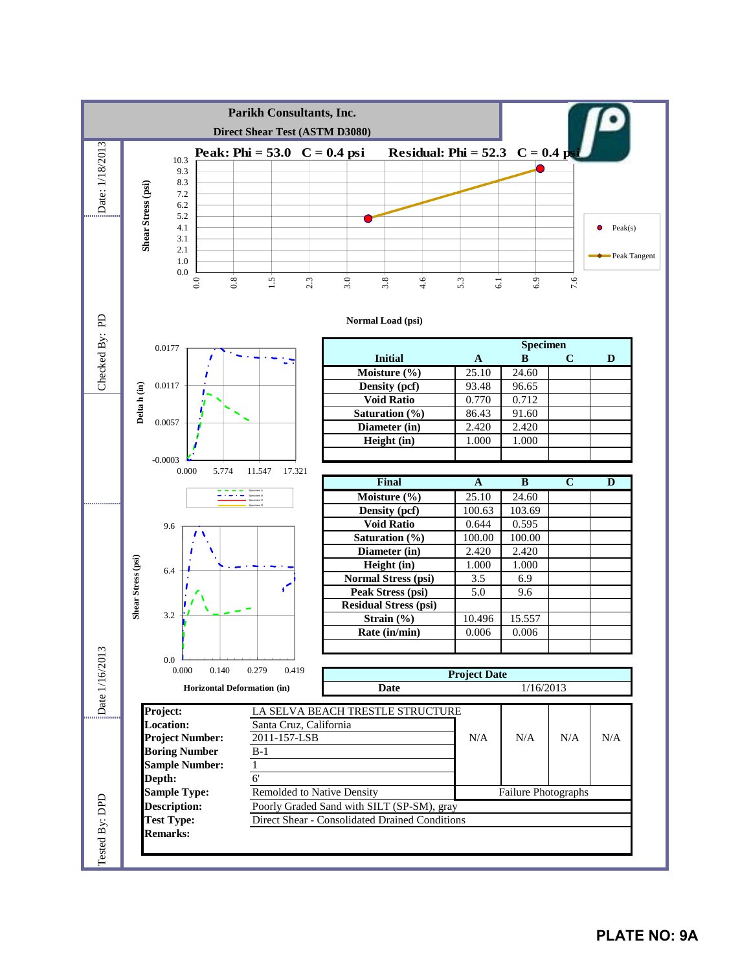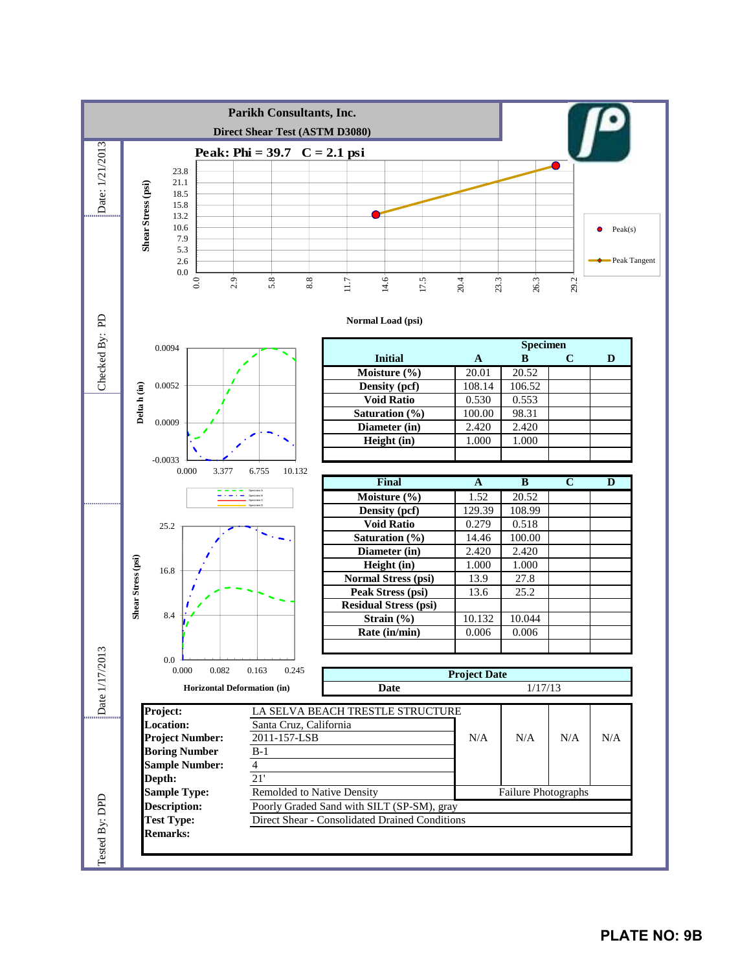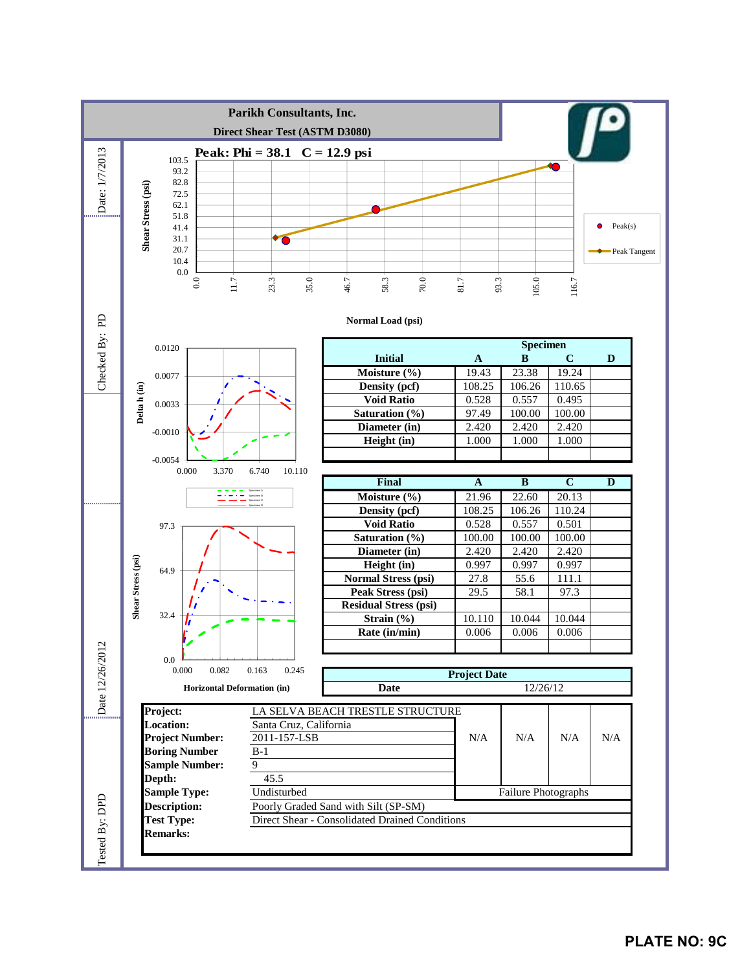